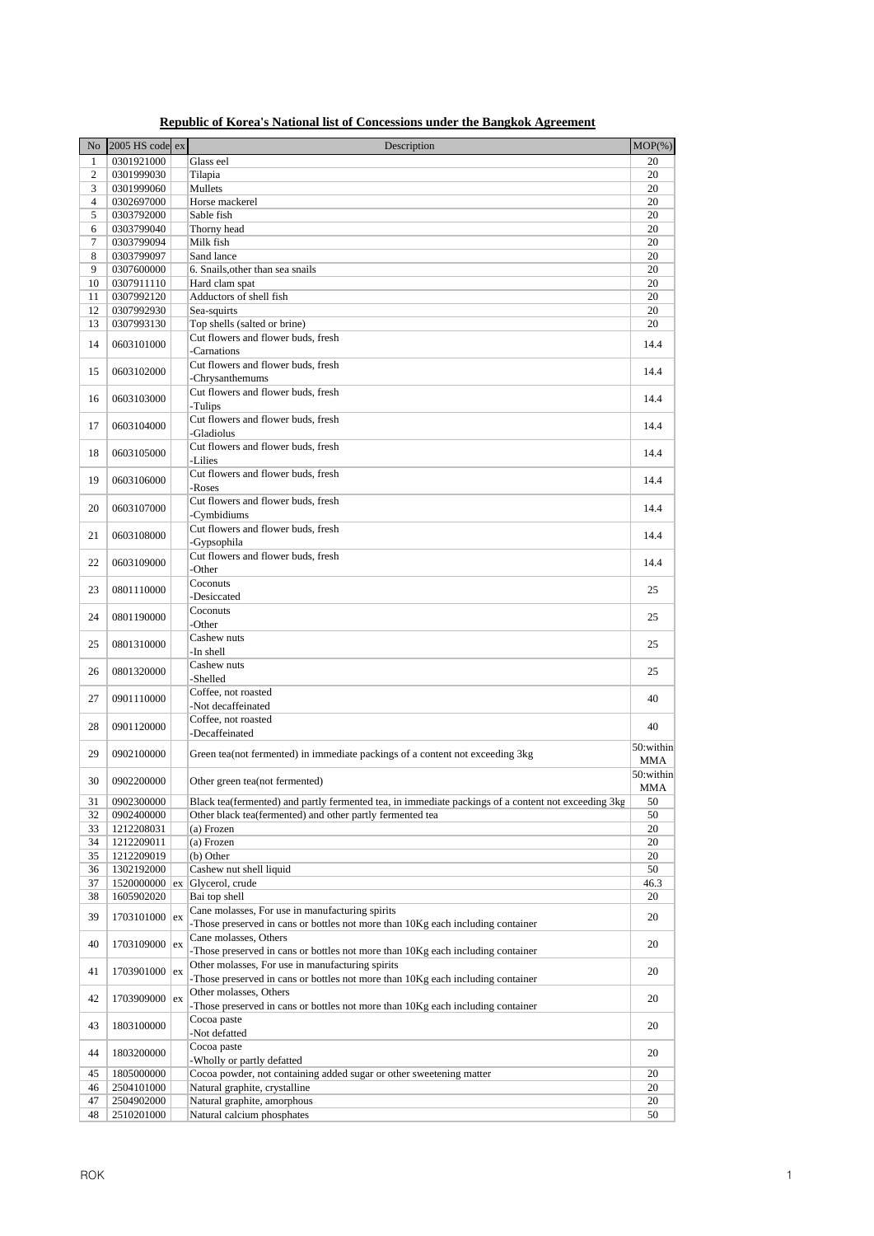| No             | 2005 HS code ex | Description                                                                                              | $MOP(\% )$ |
|----------------|-----------------|----------------------------------------------------------------------------------------------------------|------------|
| $\mathbf{1}$   | 0301921000      | Glass eel                                                                                                | 20         |
| 2              | 0301999030      | Tilapia                                                                                                  | 20         |
| 3              | 0301999060      | Mullets                                                                                                  | 20         |
| $\overline{4}$ | 0302697000      | Horse mackerel                                                                                           | 20         |
| 5              | 0303792000      | Sable fish                                                                                               | 20         |
| 6              | 0303799040      | Thorny head                                                                                              | 20         |
| 7              | 0303799094      | Milk fish                                                                                                | 20         |
| $\,8\,$        | 0303799097      | Sand lance                                                                                               | 20         |
| 9              | 0307600000      | 6. Snails, other than sea snails                                                                         | 20         |
| 10             | 0307911110      | Hard clam spat                                                                                           | 20         |
| 11             | 0307992120      | Adductors of shell fish                                                                                  | 20         |
| 12             | 0307992930      | Sea-squirts                                                                                              | 20         |
| 13             | 0307993130      | Top shells (salted or brine)                                                                             | 20         |
| 14             | 0603101000      | Cut flowers and flower buds, fresh<br>-Carnations                                                        | 14.4       |
|                |                 | Cut flowers and flower buds, fresh                                                                       |            |
| 15             | 0603102000      | -Chrysanthemums                                                                                          | 14.4       |
|                |                 | Cut flowers and flower buds, fresh                                                                       |            |
| 16             | 0603103000      | -Tulips                                                                                                  | 14.4       |
|                |                 | Cut flowers and flower buds, fresh                                                                       |            |
| 17             | 0603104000      | -Gladiolus                                                                                               | 14.4       |
|                |                 | Cut flowers and flower buds, fresh                                                                       |            |
| 18             | 0603105000      | -Lilies                                                                                                  | 14.4       |
|                |                 | Cut flowers and flower buds, fresh                                                                       |            |
| 19             | 0603106000      | -Roses                                                                                                   | 14.4       |
|                |                 | Cut flowers and flower buds, fresh                                                                       |            |
| 20             | 0603107000      | -Cymbidiums                                                                                              | 14.4       |
|                |                 | Cut flowers and flower buds, fresh                                                                       |            |
| 21             | 0603108000      | -Gypsophila                                                                                              | 14.4       |
|                |                 | Cut flowers and flower buds, fresh                                                                       |            |
| 22             | 0603109000      | -Other                                                                                                   | 14.4       |
|                |                 | Coconuts                                                                                                 |            |
| 23             | 0801110000      | -Desiccated                                                                                              | 25         |
|                |                 | Coconuts                                                                                                 |            |
| 24             | 0801190000      | -Other                                                                                                   | 25         |
|                |                 | Cashew nuts                                                                                              |            |
| 25             | 0801310000      | -In shell                                                                                                | 25         |
|                |                 | Cashew nuts                                                                                              |            |
| 26             | 0801320000      | -Shelled                                                                                                 | 25         |
| 27             | 0901110000      | Coffee, not roasted                                                                                      | 40         |
|                |                 | Not decaffeinated                                                                                        |            |
| 28             | 0901120000      | Coffee, not roasted                                                                                      | 40         |
|                |                 | -Decaffeinated                                                                                           |            |
| 29             | 0902100000      | Green tea(not fermented) in immediate packings of a content not exceeding 3kg                            | 50:within  |
|                |                 |                                                                                                          | MMA        |
| 30             | 0902200000      | Other green tea(not fermented)                                                                           | 50:within  |
|                |                 |                                                                                                          | MMA        |
| 31             | 0902300000      | Black tea(fermented) and partly fermented tea, in immediate packings of a content not exceeding 3kg      | 50         |
| 32             | 0902400000      | Other black tea(fermented) and other partly fermented tea                                                | 50         |
| 33             | 1212208031      | (a) Frozen                                                                                               | 20         |
| 34             | 1212209011      | (a) Frozen                                                                                               | 20         |
| 35             | 1212209019      | (b) Other                                                                                                | 20         |
| 36             | 1302192000      | Cashew nut shell liquid                                                                                  | 50         |
| 37             |                 | 1520000000 $\vert$ ex Glycerol, crude                                                                    | 46.3       |
| 38             | 1605902020      | Bai top shell                                                                                            | 20         |
| 39             | 1703101000 ex   | Cane molasses, For use in manufacturing spirits                                                          | 20         |
|                |                 | -Those preserved in cans or bottles not more than 10Kg each including container                          |            |
| 40             | 1703109000 ex   | Cane molasses, Others<br>-Those preserved in cans or bottles not more than 10Kg each including container | 20         |
|                |                 | Other molasses, For use in manufacturing spirits                                                         |            |
| 41             | 1703901000 ex   | -Those preserved in cans or bottles not more than 10Kg each including container                          | 20         |
|                |                 | Other molasses, Others                                                                                   |            |
| 42             | 1703909000 ex   | -Those preserved in cans or bottles not more than 10Kg each including container                          | 20         |
|                |                 | Cocoa paste                                                                                              |            |
| 43             | 1803100000      | Not defatted                                                                                             | 20         |
|                |                 | Cocoa paste                                                                                              |            |
| 44             | 1803200000      | -Wholly or partly defatted                                                                               | 20         |
| 45             | 1805000000      | Cocoa powder, not containing added sugar or other sweetening matter                                      | 20         |
| 46             | 2504101000      | Natural graphite, crystalline                                                                            | 20         |
| 47             | 2504902000      | Natural graphite, amorphous                                                                              | 20         |
| 48             | 2510201000      | Natural calcium phosphates                                                                               | 50         |
|                |                 |                                                                                                          |            |

## **Republic of Korea's National list of Concessions under the Bangkok Agreement**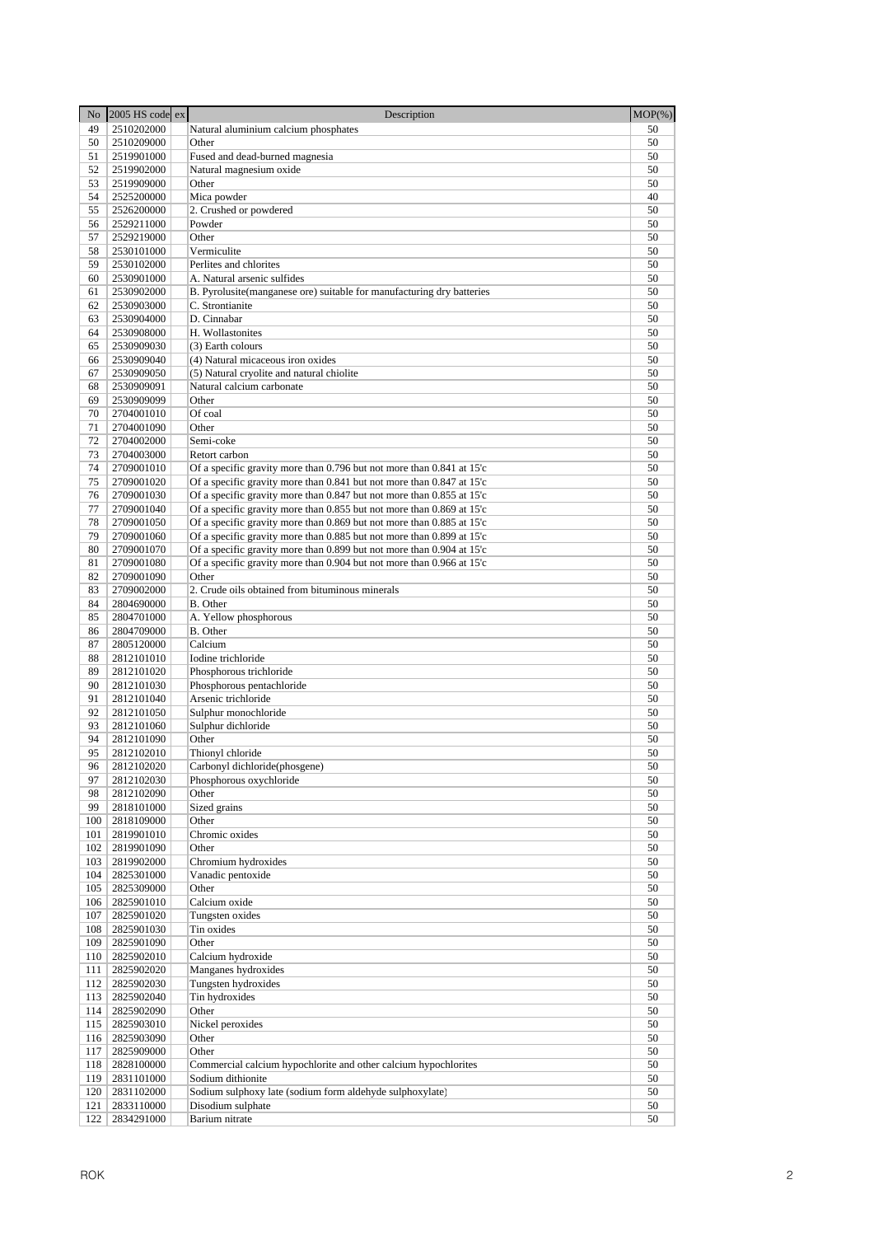| No         | 2005 HS code ex          | Description                                                                                                                                    | $MOP(\% )$ |
|------------|--------------------------|------------------------------------------------------------------------------------------------------------------------------------------------|------------|
| 49         | 2510202000               | Natural aluminium calcium phosphates                                                                                                           | 50         |
| 50         | 2510209000               | Other                                                                                                                                          | 50         |
| 51         | 2519901000               | Fused and dead-burned magnesia                                                                                                                 | 50         |
| 52         | 2519902000               | Natural magnesium oxide                                                                                                                        | 50         |
| 53         | 2519909000               | Other                                                                                                                                          | 50         |
| 54<br>55   | 2525200000<br>2526200000 | Mica powder                                                                                                                                    | 40<br>50   |
| 56         | 2529211000               | 2. Crushed or powdered<br>Powder                                                                                                               | 50         |
| 57         | 2529219000               | Other                                                                                                                                          | 50         |
| 58         | 2530101000               | Vermiculite                                                                                                                                    | 50         |
| 59         | 2530102000               | Perlites and chlorites                                                                                                                         | 50         |
| 60         | 2530901000               | A. Natural arsenic sulfides                                                                                                                    | 50         |
| 61         | 2530902000               | B. Pyrolusite(manganese ore) suitable for manufacturing dry batteries                                                                          | 50         |
| 62         | 2530903000               | C. Strontianite                                                                                                                                | 50         |
| 63         | 2530904000               | D. Cinnabar                                                                                                                                    | 50         |
| 64         | 2530908000               | H. Wollastonites                                                                                                                               | 50         |
| 65<br>66   | 2530909030<br>2530909040 | (3) Earth colours<br>(4) Natural micaceous iron oxides                                                                                         | 50<br>50   |
| 67         | 2530909050               | (5) Natural cryolite and natural chiolite                                                                                                      | 50         |
| 68         | 2530909091               | Natural calcium carbonate                                                                                                                      | 50         |
| 69         | 2530909099               | Other                                                                                                                                          | 50         |
| 70         | 2704001010               | Of coal                                                                                                                                        | 50         |
| 71         | 2704001090               | Other                                                                                                                                          | 50         |
| 72         | 2704002000               | Semi-coke                                                                                                                                      | 50         |
| 73         | 2704003000               | Retort carbon                                                                                                                                  | 50         |
| 74         | 2709001010               | Of a specific gravity more than 0.796 but not more than 0.841 at 15'c                                                                          | 50         |
| 75         | 2709001020               | Of a specific gravity more than 0.841 but not more than 0.847 at 15'c                                                                          | 50         |
| 76         | 2709001030               | Of a specific gravity more than 0.847 but not more than 0.855 at 15'c                                                                          | 50         |
| 77         | 2709001040               | Of a specific gravity more than 0.855 but not more than 0.869 at 15'c                                                                          | 50         |
| 78<br>79   | 2709001050<br>2709001060 | Of a specific gravity more than 0.869 but not more than 0.885 at 15'c<br>Of a specific gravity more than 0.885 but not more than 0.899 at 15'c | 50<br>50   |
| 80         | 2709001070               | Of a specific gravity more than 0.899 but not more than 0.904 at 15'c                                                                          | 50         |
| 81         | 2709001080               | Of a specific gravity more than 0.904 but not more than 0.966 at 15'c                                                                          | 50         |
| 82         | 2709001090               | Other                                                                                                                                          | 50         |
| 83         | 2709002000               | 2. Crude oils obtained from bituminous minerals                                                                                                | 50         |
| 84         | 2804690000               | B. Other                                                                                                                                       | 50         |
| 85         | 2804701000               | A. Yellow phosphorous                                                                                                                          | 50         |
| 86         | 2804709000               | B. Other                                                                                                                                       | 50         |
| 87         | 2805120000               | Calcium                                                                                                                                        | 50         |
| 88         | 2812101010               | Iodine trichloride                                                                                                                             | 50         |
| 89         | 2812101020               | Phosphorous trichloride                                                                                                                        | 50         |
| 90         | 2812101030               | Phosphorous pentachloride                                                                                                                      | 50         |
| 91<br>92   | 2812101040<br>2812101050 | Arsenic trichloride                                                                                                                            | 50<br>50   |
| 93         | 2812101060               | Sulphur monochloride<br>Sulphur dichloride                                                                                                     | 50         |
| 94         | 2812101090               | Other                                                                                                                                          | 50         |
| 95         | 2812102010               | Thionyl chloride                                                                                                                               | 50         |
| 96         | 2812102020               | Carbonyl dichloride(phosgene)                                                                                                                  | 50         |
| 97         | 2812102030               | Phosphorous oxychloride                                                                                                                        | 50         |
| 98         | 2812102090               | Other                                                                                                                                          | 50         |
| 99         | 2818101000               | Sized grains                                                                                                                                   | 50         |
| 100        | 2818109000               | Other                                                                                                                                          | 50         |
| 101        | 2819901010               | Chromic oxides                                                                                                                                 | 50         |
| 102        | 2819901090               | Other                                                                                                                                          | 50         |
| 103        | 2819902000               | Chromium hydroxides                                                                                                                            | 50         |
| 104<br>105 | 2825301000<br>2825309000 | Vanadic pentoxide<br>Other                                                                                                                     | 50<br>50   |
| 106        | 2825901010               | Calcium oxide                                                                                                                                  | 50         |
| 107        | 2825901020               | Tungsten oxides                                                                                                                                | 50         |
| 108        | 2825901030               | Tin oxides                                                                                                                                     | 50         |
| 109        | 2825901090               | Other                                                                                                                                          | 50         |
| 110        | 2825902010               | Calcium hydroxide                                                                                                                              | 50         |
| 111        | 2825902020               | Manganes hydroxides                                                                                                                            | 50         |
| 112        | 2825902030               | Tungsten hydroxides                                                                                                                            | 50         |
| 113        | 2825902040               | Tin hydroxides                                                                                                                                 | 50         |
| 114        | 2825902090               | Other                                                                                                                                          | 50         |
| 115        | 2825903010               | Nickel peroxides                                                                                                                               | 50         |
| 116        | 2825903090               | Other                                                                                                                                          | 50         |
| 117<br>118 | 2825909000               | Other<br>Commercial calcium hypochlorite and other calcium hypochlorites                                                                       | 50         |
| 119        | 2828100000<br>2831101000 | Sodium dithionite                                                                                                                              | 50<br>50   |
| 120        | 2831102000               | Sodium sulphoxy late (sodium form aldehyde sulphoxylate)                                                                                       | 50         |
| 121        | 2833110000               | Disodium sulphate                                                                                                                              | 50         |
| 122        | 2834291000               | Barium nitrate                                                                                                                                 | 50         |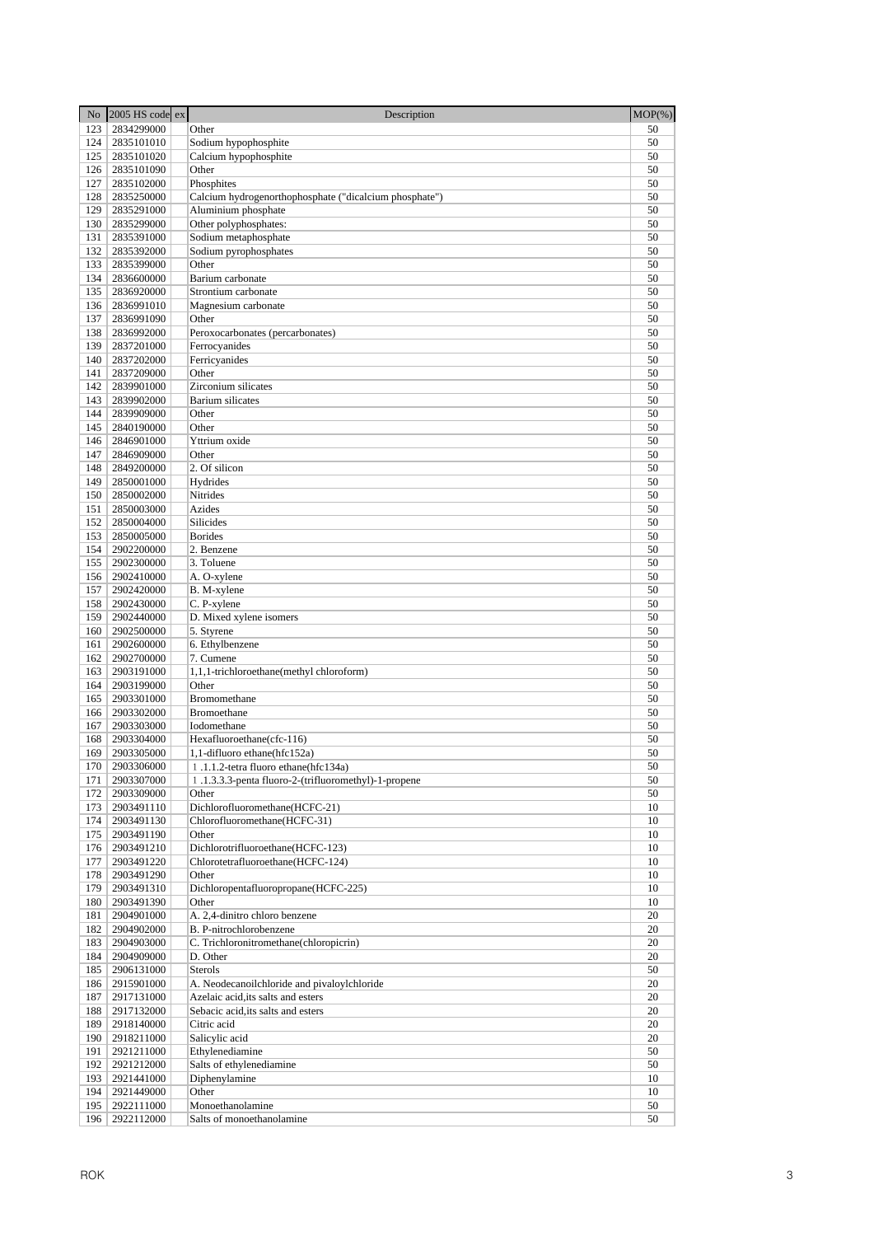| N <sub>o</sub> | $2005$ HS code ex        | Description                                                              | $MOP(\% )$ |
|----------------|--------------------------|--------------------------------------------------------------------------|------------|
| 123            | 2834299000               | Other                                                                    | 50         |
| 124            | 2835101010               | Sodium hypophosphite                                                     | 50         |
| 125            | 2835101020               | Calcium hypophosphite                                                    | 50         |
| 126<br>127     | 2835101090<br>2835102000 | Other<br>Phosphites                                                      | 50<br>50   |
| 128            | 2835250000               | Calcium hydrogenorthophosphate ("dicalcium phosphate")                   | 50         |
| 129            | 2835291000               | Aluminium phosphate                                                      | 50         |
| 130            | 2835299000               | Other polyphosphates:                                                    | 50         |
| 131            | 2835391000               | Sodium metaphosphate                                                     | 50         |
| 132            | 2835392000               | Sodium pyrophosphates                                                    | 50         |
| 133            | 2835399000               | Other                                                                    | 50         |
| 134<br>135     | 2836600000<br>2836920000 | Barium carbonate<br>Strontium carbonate                                  | 50<br>50   |
| 136            | 2836991010               | Magnesium carbonate                                                      | 50         |
| 137            | 2836991090               | Other                                                                    | 50         |
| 138            | 2836992000               | Peroxocarbonates (percarbonates)                                         | 50         |
| 139            | 2837201000               | Ferrocyanides                                                            | 50         |
| 140            | 2837202000               | Ferricyanides                                                            | 50         |
| 141            | 2837209000               | Other                                                                    | 50         |
| 142<br>143     | 2839901000<br>2839902000 | Zirconium silicates<br>Barium silicates                                  | 50<br>50   |
| 144            | 2839909000               | Other                                                                    | 50         |
| 145            | 2840190000               | Other                                                                    | 50         |
| 146            | 2846901000               | Yttrium oxide                                                            | 50         |
| 147            | 2846909000               | Other                                                                    | 50         |
| 148            | 2849200000               | 2. Of silicon                                                            | 50         |
| 149            | 2850001000               | Hydrides                                                                 | 50         |
| 150<br>151     | 2850002000<br>2850003000 | Nitrides<br>Azides                                                       | 50<br>50   |
| 152            | 2850004000               | Silicides                                                                | 50         |
| 153            | 2850005000               | <b>Borides</b>                                                           | 50         |
| 154            | 2902200000               | 2. Benzene                                                               | 50         |
| 155            | 2902300000               | 3. Toluene                                                               | 50         |
| 156            | 2902410000               | A. O-xylene                                                              | 50         |
| 157            | 2902420000               | B. M-xylene                                                              | 50         |
| 158<br>159     | 2902430000<br>2902440000 | C. P-xylene<br>D. Mixed xylene isomers                                   | 50<br>50   |
| 160            | 2902500000               | 5. Styrene                                                               | 50         |
| 161            | 2902600000               | 6. Ethylbenzene                                                          | 50         |
| 162            | 2902700000               | 7. Cumene                                                                | 50         |
| 163            | 2903191000               | 1,1,1-trichloroethane(methyl chloroform)                                 | 50         |
| 164            | 2903199000               | Other                                                                    | 50         |
| 165<br>166     | 2903301000<br>2903302000 | Bromomethane<br>Bromoethane                                              | 50<br>50   |
| 167            | 2903303000               | Iodomethane                                                              | 50         |
| 168            | 2903304000               | Hexafluoroethane(cfc-116)                                                | 50         |
| 169            | 2903305000               | 1,1-difluoro ethane(hfc152a)                                             | 50         |
|                | 170   2903306000         | 1.1.1.2-tetra fluoro ethane(hfc134a)                                     | 50         |
| 171            | 2903307000               | 1.1.3.3.3-penta fluoro-2-(trifluoromethyl)-1-propene                     | 50         |
| 172            | 2903309000               | Other                                                                    | 50         |
| 173<br>174     | 2903491110<br>2903491130 | Dichlorofluoromethane(HCFC-21)<br>Chlorofluoromethane(HCFC-31)           | 10<br>10   |
| 175            | 2903491190               | Other                                                                    | 10         |
| 176            | 2903491210               | Dichlorotrifluoroethane(HCFC-123)                                        | 10         |
| 177            | 2903491220               | Chlorotetrafluoroethane(HCFC-124)                                        | 10         |
| 178            | 2903491290               | Other                                                                    | 10         |
| 179            | 2903491310               | Dichloropentafluoropropane(HCFC-225)                                     | 10         |
| 180<br>181     | 2903491390<br>2904901000 | Other<br>A. 2,4-dinitro chloro benzene                                   | 10<br>20   |
| 182            | 2904902000               | B. P-nitrochlorobenzene                                                  | 20         |
| 183            | 2904903000               | C. Trichloronitromethane(chloropicrin)                                   | 20         |
| 184            | 2904909000               | D. Other                                                                 | 20         |
| 185            | 2906131000               | Sterols                                                                  | 50         |
| 186            | 2915901000               | A. Neodecanoilchloride and pivaloylchloride                              | 20         |
| 187<br>188     | 2917131000<br>2917132000 | Azelaic acid, its salts and esters<br>Sebacic acid, its salts and esters | 20<br>20   |
| 189            | 2918140000               | Citric acid                                                              | 20         |
| 190            | 2918211000               | Salicylic acid                                                           | 20         |
| 191            | 2921211000               | Ethylenediamine                                                          | 50         |
| 192            | 2921212000               | Salts of ethylenediamine                                                 | 50         |
| 193            | 2921441000               | Diphenylamine                                                            | 10         |
| 194            | 2921449000               | Other                                                                    | 10         |
| 195<br>196     | 2922111000<br>2922112000 | Monoethanolamine<br>Salts of monoethanolamine                            | 50<br>50   |
|                |                          |                                                                          |            |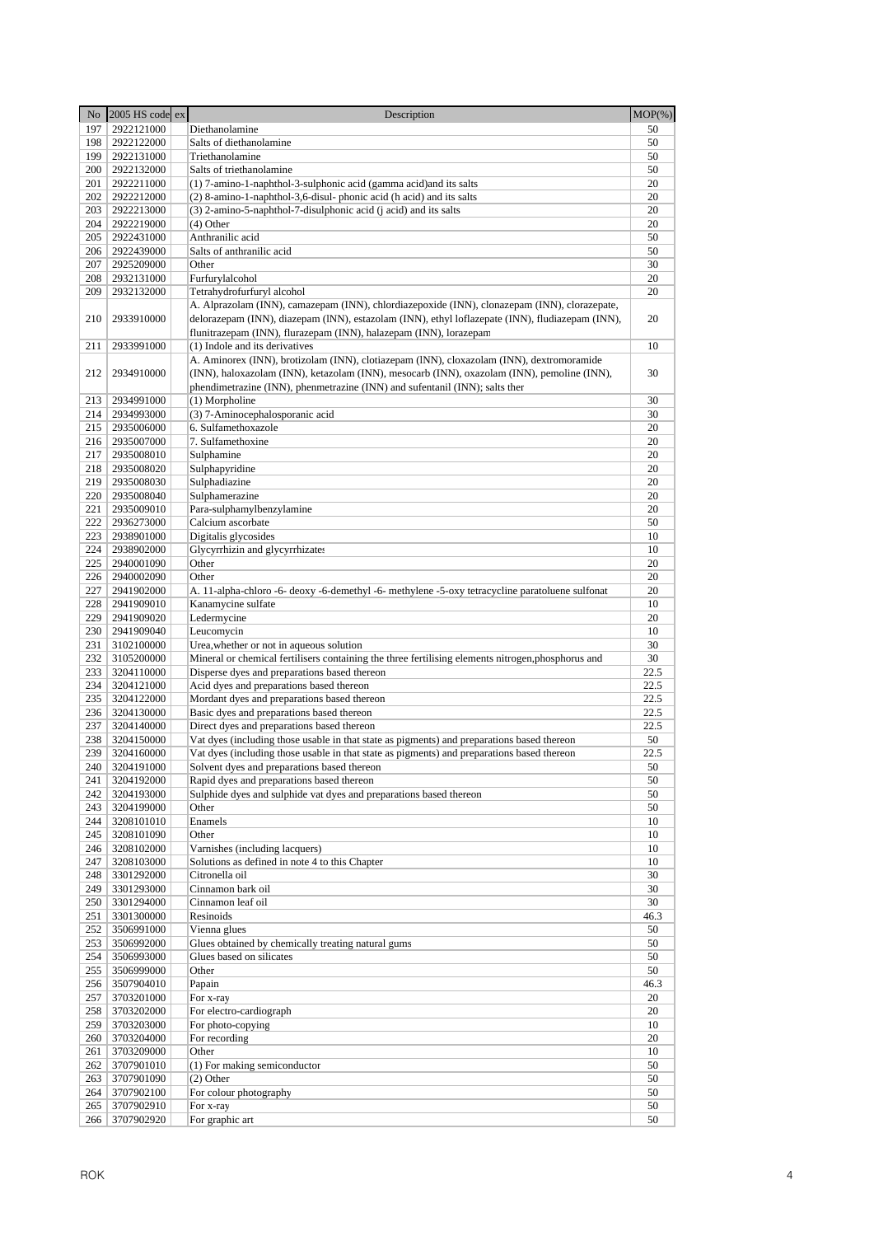| No         | 2005 HS code ex          | Description                                                                                                                                                                                                                                                           | $MOP(\%)$  |
|------------|--------------------------|-----------------------------------------------------------------------------------------------------------------------------------------------------------------------------------------------------------------------------------------------------------------------|------------|
| 197        | 2922121000               | Diethanolamine                                                                                                                                                                                                                                                        | 50         |
| 198        | 2922122000               | Salts of diethanolamine                                                                                                                                                                                                                                               | 50         |
| 199        | 2922131000               | Triethanolamine                                                                                                                                                                                                                                                       | 50         |
| 200        | 2922132000               | Salts of triethanolamine                                                                                                                                                                                                                                              | 50         |
| 201        | 2922211000               | (1) 7-amino-1-naphthol-3-sulphonic acid (gamma acid) and its salts                                                                                                                                                                                                    | 20         |
| 202        | 2922212000               | (2) 8-amino-1-naphthol-3,6-disul-phonic acid (h acid) and its salts                                                                                                                                                                                                   | 20         |
| 203        | 2922213000               | (3) 2-amino-5-naphthol-7-disulphonic acid (j acid) and its salts                                                                                                                                                                                                      | 20         |
| 204<br>205 | 2922219000               | (4) Other<br>Anthranilic acid                                                                                                                                                                                                                                         | 20         |
| 206        | 2922431000<br>2922439000 | Salts of anthranilic acid                                                                                                                                                                                                                                             | 50<br>50   |
| 207        | 2925209000               | Other                                                                                                                                                                                                                                                                 | 30         |
| 208        | 2932131000               | Furfurylalcohol                                                                                                                                                                                                                                                       | 20         |
| 209        | 2932132000               | Tetrahydrofurfuryl alcohol                                                                                                                                                                                                                                            | 20         |
| 210        | 2933910000               | A. Alprazolam (INN), camazepam (INN), chlordiazepoxide (INN), clonazepam (INN), clorazepate,<br>delorazepam (INN), diazepam (INN), estazolam (INN), ethyl loflazepate (INN), fludiazepam (INN),<br>flunitrazepam (INN), flurazepam (INN), halazepam (INN), lorazepam  | 20         |
| 211        | 2933991000               | (1) Indole and its derivatives                                                                                                                                                                                                                                        | 10         |
| 212        | 2934910000               | A. Aminorex (INN), brotizolam (INN), clotiazepam (INN), cloxazolam (INN), dextromoramide<br>(INN), haloxazolam (INN), ketazolam (INN), mesocarb (INN), oxazolam (INN), pemoline (INN),<br>phendimetrazine (INN), phenmetrazine (INN) and sufentanil (INN); salts ther | 30         |
| 213        | 2934991000               | (1) Morpholine                                                                                                                                                                                                                                                        | 30         |
| 214        | 2934993000               | (3) 7-Aminocephalosporanic acid                                                                                                                                                                                                                                       | 30         |
| 215        | 2935006000               | 6. Sulfamethoxazole                                                                                                                                                                                                                                                   | 20         |
| 216        | 2935007000               | 7. Sulfamethoxine                                                                                                                                                                                                                                                     | 20         |
| 217        | 2935008010               | Sulphamine                                                                                                                                                                                                                                                            | 20<br>20   |
| 218<br>219 | 2935008020<br>2935008030 | Sulphapyridine<br>Sulphadiazine                                                                                                                                                                                                                                       | 20         |
| 220        | 2935008040               | Sulphamerazine                                                                                                                                                                                                                                                        | 20         |
| 221        | 2935009010               | Para-sulphamylbenzylamine                                                                                                                                                                                                                                             | 20         |
| 222        | 2936273000               | Calcium ascorbate                                                                                                                                                                                                                                                     | 50         |
| 223        | 2938901000               | Digitalis glycosides                                                                                                                                                                                                                                                  | 10         |
| 224        | 2938902000               | Glycyrrhizin and glycyrrhizates                                                                                                                                                                                                                                       | 10         |
| 225        | 2940001090               | Other                                                                                                                                                                                                                                                                 | 20         |
| 226        | 2940002090               | Other                                                                                                                                                                                                                                                                 | 20         |
| 227        | 2941902000               | A. 11-alpha-chloro -6- deoxy -6-demethyl -6- methylene -5-oxy tetracycline paratoluene sulfonat                                                                                                                                                                       | 20         |
| 228        | 2941909010               | Kanamycine sulfate                                                                                                                                                                                                                                                    | 10         |
| 229        | 2941909020               | Ledermycine                                                                                                                                                                                                                                                           | 20         |
| 230<br>231 | 2941909040<br>3102100000 | Leucomycin<br>Urea, whether or not in aqueous solution                                                                                                                                                                                                                | 10<br>30   |
| 232        | 3105200000               | Mineral or chemical fertilisers containing the three fertilising elements nitrogen, phosphorus and                                                                                                                                                                    | 30         |
| 233        | 3204110000               | Disperse dyes and preparations based thereon                                                                                                                                                                                                                          | 22.5       |
| 234        | 3204121000               | Acid dyes and preparations based thereon                                                                                                                                                                                                                              | 22.5       |
| 235        | 3204122000               | Mordant dyes and preparations based thereon                                                                                                                                                                                                                           | 22.5       |
| 236        | 3204130000               | Basic dyes and preparations based thereon                                                                                                                                                                                                                             | 22.5       |
| 237        | 3204140000               | Direct dyes and preparations based thereon                                                                                                                                                                                                                            | 22.5       |
| 238        | 3204150000               | Vat dyes (including those usable in that state as pigments) and preparations based thereon                                                                                                                                                                            | 50         |
| 239        | 3204160000               | Vat dyes (including those usable in that state as pigments) and preparations based thereon                                                                                                                                                                            | 22.5       |
|            | 240   3204191000         | Solvent dyes and preparations based thereon                                                                                                                                                                                                                           | 50<br>50   |
| 241<br>242 | 3204192000<br>3204193000 | Rapid dyes and preparations based thereon<br>Sulphide dyes and sulphide vat dyes and preparations based thereon                                                                                                                                                       | 50         |
| 243        | 3204199000               | Other                                                                                                                                                                                                                                                                 | 50         |
| 244        | 3208101010               | Enamels                                                                                                                                                                                                                                                               | 10         |
| 245        | 3208101090               | Other                                                                                                                                                                                                                                                                 | 10         |
| 246        | 3208102000               | Varnishes (including lacquers)                                                                                                                                                                                                                                        | 10         |
| 247        | 3208103000               | Solutions as defined in note 4 to this Chapter                                                                                                                                                                                                                        | 10         |
| 248        | 3301292000               | Citronella oil                                                                                                                                                                                                                                                        | 30         |
| 249        | 3301293000               | Cinnamon bark oil                                                                                                                                                                                                                                                     | 30         |
| 250        | 3301294000               | Cinnamon leaf oil                                                                                                                                                                                                                                                     | 30         |
| 251<br>252 | 3301300000               | Resinoids<br>Vienna glues                                                                                                                                                                                                                                             | 46.3<br>50 |
| 253        | 3506991000<br>3506992000 | Glues obtained by chemically treating natural gums                                                                                                                                                                                                                    | 50         |
| 254        | 3506993000               | Glues based on silicates                                                                                                                                                                                                                                              | 50         |
| 255        | 3506999000               | Other                                                                                                                                                                                                                                                                 | 50         |
| 256        | 3507904010               | Papain                                                                                                                                                                                                                                                                | 46.3       |
| 257        | 3703201000               | For x-ray                                                                                                                                                                                                                                                             | 20         |
| 258        | 3703202000               | For electro-cardiograph                                                                                                                                                                                                                                               | 20         |
| 259        | 3703203000               | For photo-copying                                                                                                                                                                                                                                                     | 10         |
| 260        | 3703204000               | For recording                                                                                                                                                                                                                                                         | 20         |
| 261        | 3703209000               | Other                                                                                                                                                                                                                                                                 | 10         |
| 262<br>263 | 3707901010               | (1) For making semiconductor<br>(2) Other                                                                                                                                                                                                                             | 50<br>50   |
| 264        | 3707901090<br>3707902100 | For colour photography                                                                                                                                                                                                                                                | 50         |
| 265        | 3707902910               | For x-ray                                                                                                                                                                                                                                                             | 50         |
| 266        | 3707902920               | For graphic art                                                                                                                                                                                                                                                       | 50         |
|            |                          |                                                                                                                                                                                                                                                                       |            |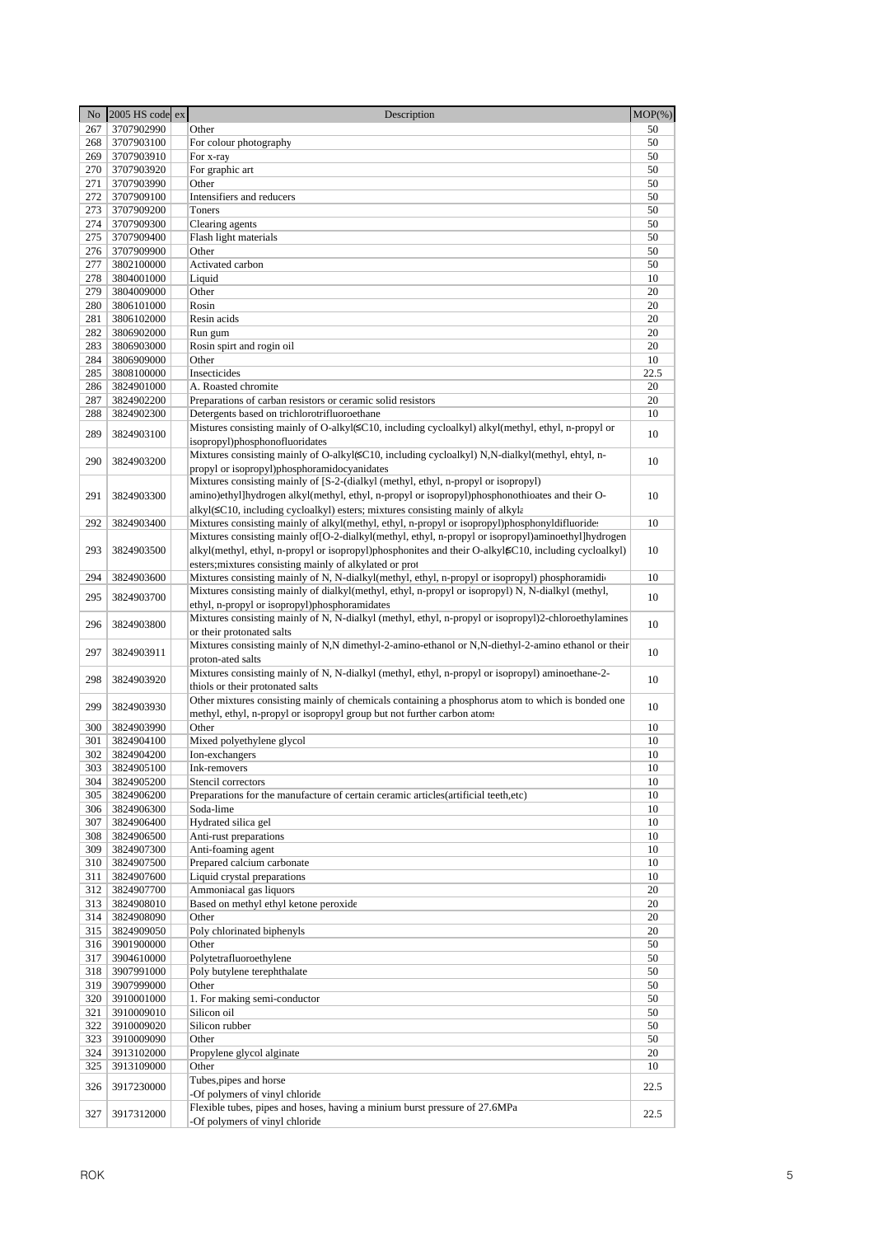| No         | 2005 HS code ex          | Description                                                                                                                                        | $MOP(\%)$ |
|------------|--------------------------|----------------------------------------------------------------------------------------------------------------------------------------------------|-----------|
| 267        | 3707902990               | Other                                                                                                                                              | 50        |
| 268        | 3707903100               | For colour photography                                                                                                                             | 50        |
| 269        | 3707903910               | For x-ray                                                                                                                                          | 50        |
| 270        | 3707903920               | For graphic art                                                                                                                                    | 50        |
| 271        | 3707903990               | Other                                                                                                                                              | 50        |
| 272        | 3707909100               | Intensifiers and reducers                                                                                                                          | 50        |
| 273        | 3707909200               | Toners                                                                                                                                             | 50        |
| 274        | 3707909300               | Clearing agents                                                                                                                                    | 50        |
| 275        | 3707909400               | Flash light materials                                                                                                                              | 50        |
| 276        | 3707909900               | Other                                                                                                                                              | 50        |
| 277<br>278 | 3802100000               | Activated carbon                                                                                                                                   | 50<br>10  |
| 279        | 3804001000<br>3804009000 | Liquid<br>Other                                                                                                                                    | 20        |
| 280        | 3806101000               | Rosin                                                                                                                                              | 20        |
| 281        | 3806102000               | Resin acids                                                                                                                                        | 20        |
| 282        | 3806902000               | Run gum                                                                                                                                            | 20        |
| 283        | 3806903000               | Rosin spirt and rogin oil                                                                                                                          | 20        |
| 284        | 3806909000               | Other                                                                                                                                              | 10        |
| 285        | 3808100000               | Insecticides                                                                                                                                       | 22.5      |
| 286        | 3824901000               | A. Roasted chromite                                                                                                                                | 20        |
| 287        | 3824902200               | Preparations of carban resistors or ceramic solid resistors                                                                                        | 20        |
| 288        | 3824902300               | Detergents based on trichlorotrifluoroethane                                                                                                       | 10        |
| 289        | 3824903100               | Mistures consisting mainly of O-alkyl( $\leq C10$ , including cycloalkyl) alkyl(methyl, ethyl, n-propyl or                                         | 10        |
|            |                          | isopropyl)phosphonofluoridates                                                                                                                     |           |
| 290        | 3824903200               | Mixtures consisting mainly of O-alkyl( $\leq$ C10, including cycloalkyl) N,N-dialkyl(methyl, ehtyl, n-                                             | 10        |
|            |                          | propyl or isopropyl)phosphoramidocyanidates                                                                                                        |           |
|            |                          | Mixtures consisting mainly of [S-2-(dialkyl (methyl, ethyl, n-propyl or isopropyl)                                                                 |           |
| 291        | 3824903300               | amino)ethyl]hydrogen alkyl(methyl, ethyl, n-propyl or isopropyl)phosphonothioates and their O-                                                     | 10        |
|            |                          | alkyl(≤C10, including cycloalkyl) esters; mixtures consisting mainly of alkyla                                                                     |           |
| 292        | 3824903400               | Mixtures consisting mainly of alkyl(methyl, ethyl, n-propyl or isopropyl)phosphonyldifluoride:                                                     | 10        |
|            |                          | Mixtures consisting mainly of [O-2-dialkyl(methyl, ethyl, n-propyl or isopropyl)aminoethyl]hydrogen                                                |           |
| 293        | 3824903500               | alkyl(methyl, ethyl, n-propyl or isopropyl)phosphonites and their O-alkyl $\epsilon$ C10, including cycloalkyl)                                    | 10        |
|            |                          | esters; mixtures consisting mainly of alkylated or prot                                                                                            |           |
| 294        | 3824903600               | Mixtures consisting mainly of N, N-dialkyl(methyl, ethyl, n-propyl or isopropyl) phosphoramidio                                                    | 10        |
| 295        | 3824903700               | Mixtures consisting mainly of dialkyl(methyl, ethyl, n-propyl or isopropyl) N, N-dialkyl (methyl,<br>ethyl, n-propyl or isopropyl)phosphoramidates | 10        |
|            |                          | Mixtures consisting mainly of N, N-dialkyl (methyl, ethyl, n-propyl or isopropyl)2-chloroethylamines                                               |           |
| 296        | 3824903800               | or their protonated salts                                                                                                                          | 10        |
|            |                          | Mixtures consisting mainly of N,N dimethyl-2-amino-ethanol or N,N-diethyl-2-amino ethanol or their                                                 |           |
| 297        | 3824903911               | proton-ated salts                                                                                                                                  | 10        |
|            |                          | Mixtures consisting mainly of N, N-dialkyl (methyl, ethyl, n-propyl or isopropyl) aminoethane-2-                                                   |           |
| 298        | 3824903920               | thiols or their protonated salts                                                                                                                   | 10        |
|            |                          | Other mixtures consisting mainly of chemicals containing a phosphorus atom to which is bonded one                                                  |           |
| 299        | 3824903930               | methyl, ethyl, n-propyl or isopropyl group but not further carbon atoms                                                                            | 10        |
| 300        | 3824903990               | Other                                                                                                                                              | 10        |
| 301        | 3824904100               | Mixed polyethylene glycol                                                                                                                          | 10        |
| 302        | 3824904200               | Ion-exchangers                                                                                                                                     | 10        |
| 303        | 3824905100               | Ink-removers                                                                                                                                       | 10        |
| 304        | 3824905200               | Stencil correctors                                                                                                                                 | 10        |
| 305        | 3824906200               | Preparations for the manufacture of certain ceramic articles (artificial teeth, etc)                                                               | 10        |
| 306        | 3824906300               | Soda-lime                                                                                                                                          | 10        |
| 307        | 3824906400               | Hydrated silica gel                                                                                                                                | 10        |
| 308        | 3824906500               | Anti-rust preparations                                                                                                                             | 10        |
| 309        | 3824907300               | Anti-foaming agent<br>Prepared calcium carbonate                                                                                                   | 10        |
| 310        | 3824907500               | Liquid crystal preparations                                                                                                                        | 10        |
| 311<br>312 | 3824907600               | Ammoniacal gas liquors                                                                                                                             | 10<br>20  |
| 313        | 3824907700<br>3824908010 | Based on methyl ethyl ketone peroxide                                                                                                              | 20        |
| 314        | 3824908090               | Other                                                                                                                                              | 20        |
| 315        | 3824909050               | Poly chlorinated biphenyls                                                                                                                         | 20        |
| 316        | 3901900000               | Other                                                                                                                                              | 50        |
| 317        | 3904610000               | Polytetrafluoroethylene                                                                                                                            | 50        |
| 318        | 3907991000               | Poly butylene terephthalate                                                                                                                        | 50        |
| 319        | 3907999000               | Other                                                                                                                                              | 50        |
| 320        | 3910001000               | 1. For making semi-conductor                                                                                                                       | 50        |
| 321        | 3910009010               | Silicon oil                                                                                                                                        | 50        |
| 322        | 3910009020               | Silicon rubber                                                                                                                                     | 50        |
| 323        | 3910009090               | Other                                                                                                                                              | 50        |
| 324        | 3913102000               | Propylene glycol alginate                                                                                                                          | 20        |
| 325        | 3913109000               | Other                                                                                                                                              | 10        |
| 326        | 3917230000               | Tubes, pipes and horse                                                                                                                             | 22.5      |
|            |                          | -Of polymers of vinyl chloride                                                                                                                     |           |
| 327        | 3917312000               | Flexible tubes, pipes and hoses, having a minium burst pressure of 27.6MPa                                                                         | 22.5      |
|            |                          | -Of polymers of vinyl chloride                                                                                                                     |           |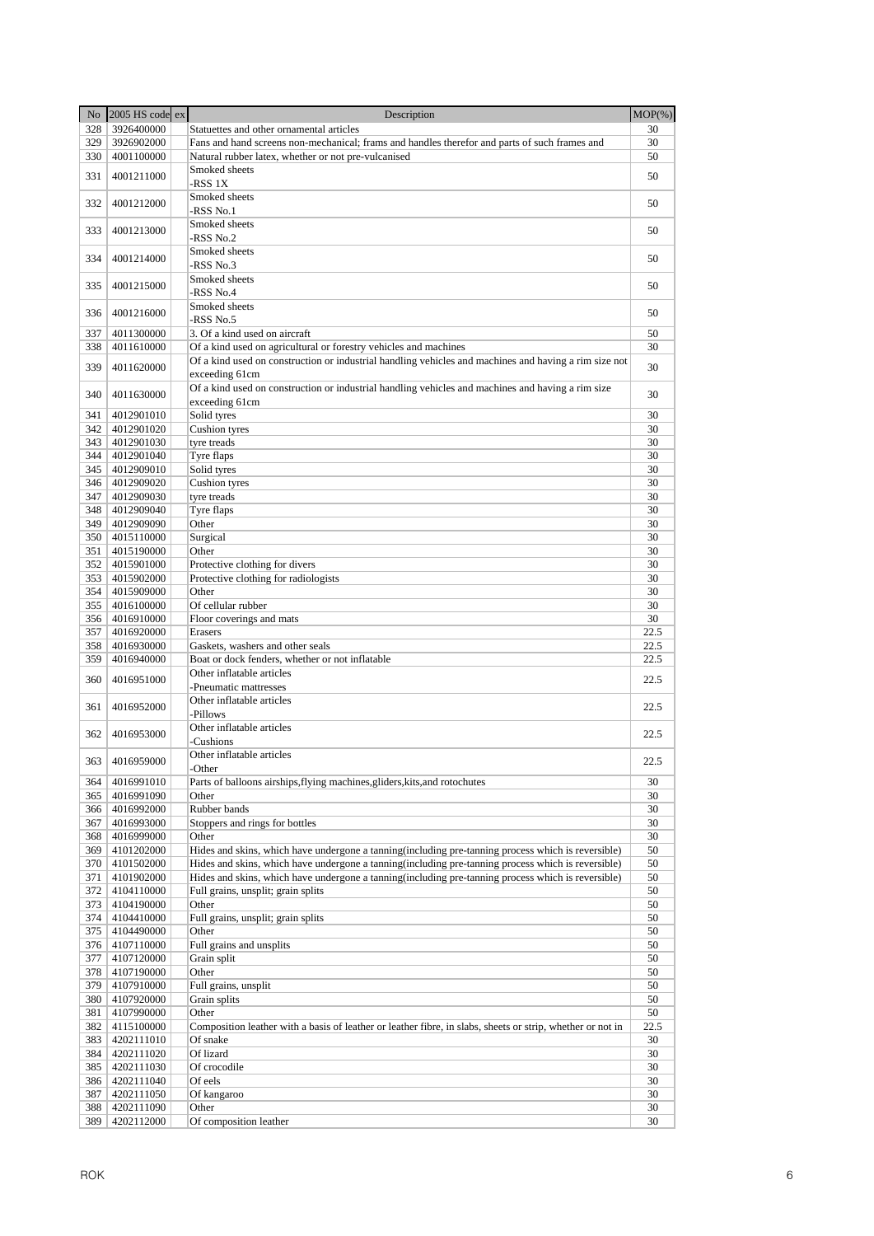| No         | 2005 HS code ex          | Description                                                                                                | $MOP(\% )$ |
|------------|--------------------------|------------------------------------------------------------------------------------------------------------|------------|
| 328        | 3926400000               | Statuettes and other ornamental articles                                                                   | 30         |
| 329        | 3926902000               | Fans and hand screens non-mechanical; frams and handles therefor and parts of such frames and              | 30         |
| 330        | 4001100000               | Natural rubber latex, whether or not pre-vulcanised                                                        | 50         |
|            |                          | Smoked sheets                                                                                              |            |
| 331        | 4001211000               | -RSS 1X                                                                                                    | 50         |
|            |                          | Smoked sheets                                                                                              |            |
| 332        | 4001212000               | -RSS No.1                                                                                                  | 50         |
| 333        | 4001213000               | Smoked sheets                                                                                              | 50         |
|            |                          | -RSS No.2                                                                                                  |            |
| 334        | 4001214000               | Smoked sheets                                                                                              | 50         |
|            |                          | -RSS No.3                                                                                                  |            |
| 335        | 4001215000               | Smoked sheets                                                                                              | 50         |
|            |                          | -RSS No.4                                                                                                  |            |
| 336        | 4001216000               | Smoked sheets                                                                                              | 50         |
|            |                          | -RSS No.5                                                                                                  |            |
| 337        | 4011300000               | 3. Of a kind used on aircraft                                                                              | 50         |
| 338        | 4011610000               | Of a kind used on agricultural or forestry vehicles and machines                                           | 30         |
| 339        | 4011620000               | Of a kind used on construction or industrial handling vehicles and machines and having a rim size not      | 30         |
|            |                          | exceeding 61cm                                                                                             |            |
| 340        | 4011630000               | Of a kind used on construction or industrial handling vehicles and machines and having a rim size          | 30         |
|            |                          | exceeding 61cm                                                                                             |            |
| 341        | 4012901010               | Solid tyres<br>Cushion tyres                                                                               | 30         |
| 342        | 4012901020               |                                                                                                            | 30         |
| 343        | 4012901030               | tyre treads                                                                                                | 30         |
| 344        | 4012901040               | Tyre flaps                                                                                                 | 30         |
| 345        | 4012909010               | Solid tyres                                                                                                | 30         |
| 346        | 4012909020               | Cushion tyres                                                                                              | 30         |
| 347        | 4012909030               | tyre treads                                                                                                | 30         |
| 348        | 4012909040               | Tyre flaps                                                                                                 | 30         |
| 349        | 4012909090               | Other                                                                                                      | 30         |
| 350        | 4015110000               | Surgical                                                                                                   | 30         |
| 351        | 4015190000               | Other                                                                                                      | 30         |
| 352        | 4015901000               | Protective clothing for divers                                                                             | 30         |
| 353        | 4015902000               | Protective clothing for radiologists                                                                       | 30         |
| 354        | 4015909000               | Other                                                                                                      | 30         |
| 355        | 4016100000               | Of cellular rubber                                                                                         | 30         |
| 356        | 4016910000               | Floor coverings and mats                                                                                   | 30         |
| 357        | 4016920000               | Erasers                                                                                                    | 22.5       |
| 358        | 4016930000               | Gaskets, washers and other seals                                                                           | 22.5       |
| 359        | 4016940000               | Boat or dock fenders, whether or not inflatable<br>Other inflatable articles                               | 22.5       |
| 360        | 4016951000               |                                                                                                            | 22.5       |
|            |                          | -Pneumatic mattresses                                                                                      |            |
| 361        | 4016952000               | Other inflatable articles<br>-Pillows                                                                      | 22.5       |
|            |                          |                                                                                                            |            |
| 362        | 4016953000               | Other inflatable articles                                                                                  | 22.5       |
|            |                          | -Cushions<br>Other inflatable articles                                                                     |            |
|            | 363 4016959000           |                                                                                                            | 22.5       |
|            |                          | -Other<br>Parts of balloons airships, flying machines, gliders, kits, and rotochutes                       |            |
| 364<br>365 | 4016991010<br>4016991090 | Other                                                                                                      | 30<br>30   |
| 366        | 4016992000               | Rubber bands                                                                                               | 30         |
| 367        | 4016993000               | Stoppers and rings for bottles                                                                             | 30         |
| 368        | 4016999000               | Other                                                                                                      | 30         |
| 369        | 4101202000               | Hides and skins, which have undergone a tanning (including pre-tanning process which is reversible)        | 50         |
| 370        | 4101502000               | Hides and skins, which have undergone a tanning (including pre-tanning process which is reversible)        | 50         |
| 371        | 4101902000               | Hides and skins, which have undergone a tanning (including pre-tanning process which is reversible)        | 50         |
| 372        | 4104110000               | Full grains, unsplit; grain splits                                                                         | 50         |
| 373        | 4104190000               | Other                                                                                                      | 50         |
| 374        | 4104410000               | Full grains, unsplit; grain splits                                                                         | 50         |
| 375        | 4104490000               | Other                                                                                                      | 50         |
| 376        | 4107110000               | Full grains and unsplits                                                                                   | 50         |
| 377        | 4107120000               | Grain split                                                                                                | 50         |
| 378        | 4107190000               | Other                                                                                                      | 50         |
| 379        | 4107910000               | Full grains, unsplit                                                                                       | 50         |
| 380        | 4107920000               | Grain splits                                                                                               | 50         |
| 381        | 4107990000               | Other                                                                                                      | 50         |
| 382        | 4115100000               | Composition leather with a basis of leather or leather fibre, in slabs, sheets or strip, whether or not in | 22.5       |
| 383        | 4202111010               | Of snake                                                                                                   | 30         |
| 384        | 4202111020               | Of lizard                                                                                                  | 30         |
| 385        | 4202111030               | Of crocodile                                                                                               | 30         |
| 386        | 4202111040               | Of eels                                                                                                    | 30         |
| 387        | 4202111050               | Of kangaroo                                                                                                | 30         |
| 388        | 4202111090               | Other                                                                                                      | 30         |
| 389        | 4202112000               | Of composition leather                                                                                     | 30         |
|            |                          |                                                                                                            |            |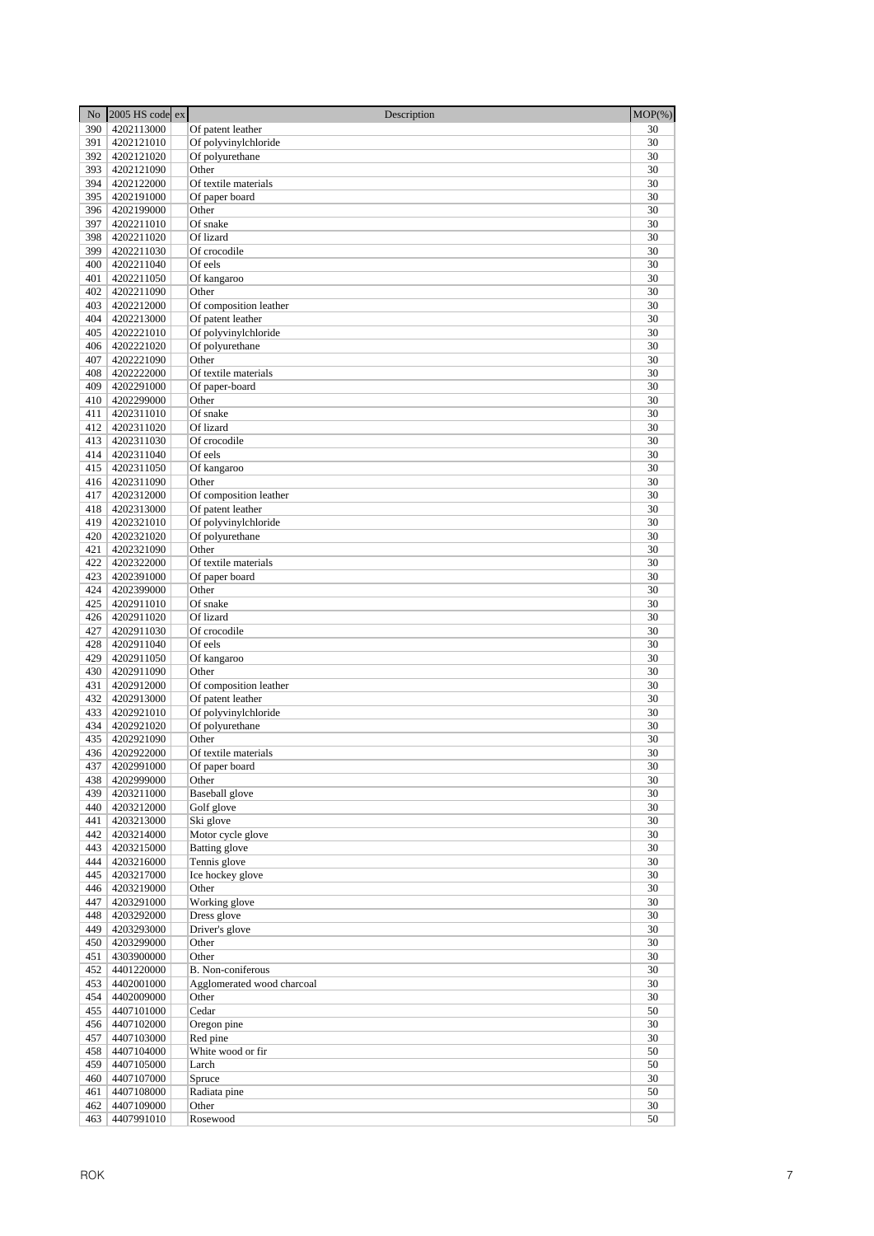| No         | 2005 HS code ex          | Description                | $MOP(\% )$ |
|------------|--------------------------|----------------------------|------------|
| 390        | 4202113000               | Of patent leather          | 30         |
| 391        | 4202121010               | Of polyvinylchloride       | 30         |
| 392        | 4202121020               | Of polyurethane            | 30         |
| 393        | 4202121090               | Other                      | 30         |
| 394        | 4202122000               | Of textile materials       | 30         |
| 395        | 4202191000               | Of paper board             | 30         |
| 396        | 4202199000               | Other                      | 30         |
| 397        | 4202211010               | Of snake                   | 30         |
| 398        | 4202211020               | Of lizard                  | 30         |
| 399        | 4202211030               | Of crocodile               | 30         |
| 400        | 4202211040               | Of eels                    | 30<br>30   |
| 401<br>402 | 4202211050<br>4202211090 | Of kangaroo<br>Other       | 30         |
| 403        | 4202212000               | Of composition leather     | 30         |
| 404        | 4202213000               | Of patent leather          | 30         |
| 405        | 4202221010               | Of polyvinylchloride       | 30         |
| 406        | 4202221020               | Of polyurethane            | 30         |
| 407        | 4202221090               | Other                      | 30         |
| 408        | 4202222000               | Of textile materials       | 30         |
| 409        | 4202291000               | Of paper-board             | 30         |
| 410        | 4202299000               | Other                      | 30         |
| 411        | 4202311010               | Of snake                   | 30         |
| 412        | 4202311020               | Of lizard                  | 30         |
| 413        | 4202311030               | Of crocodile               | 30         |
| 414        | 4202311040               | Of eels                    | 30         |
| 415        | 4202311050               | Of kangaroo                | 30         |
|            | 416 4202311090           | Other                      | 30         |
| 417        | 4202312000               | Of composition leather     | 30         |
| 418        | 4202313000               | Of patent leather          | 30         |
| 419        | 4202321010               | Of polyvinylchloride       | 30         |
| 420<br>421 | 4202321020               | Of polyurethane<br>Other   | 30<br>30   |
| 422        | 4202321090<br>4202322000 | Of textile materials       | 30         |
| 423        | 4202391000               | Of paper board             | 30         |
| 424        | 4202399000               | Other                      | 30         |
| 425        | 4202911010               | Of snake                   | 30         |
| 426        | 4202911020               | Of lizard                  | 30         |
| 427        | 4202911030               | Of crocodile               | 30         |
| 428        | 4202911040               | Of eels                    | 30         |
| 429        | 4202911050               | Of kangaroo                | 30         |
| 430        | 4202911090               | Other                      | 30         |
| 431        | 4202912000               | Of composition leather     | 30         |
| 432        | 4202913000               | Of patent leather          | 30         |
| 433        | 4202921010               | Of polyvinylchloride       | 30         |
| 434        | 4202921020               | Of polyurethane            | 30         |
| 435        | 4202921090               | Other                      | 30         |
| 436        | 4202922000               | Of textile materials       | 30         |
| 437<br>438 | 4202991000<br>4202999000 | Of paper board<br>Other    | 30<br>30   |
| 439        | 4203211000               | <b>Baseball</b> glove      | 30         |
| 440        | 4203212000               | Golf glove                 | 30         |
| 441        | 4203213000               | Ski glove                  | 30         |
| 442        | 4203214000               | Motor cycle glove          | 30         |
| 443        | 4203215000               | <b>Batting glove</b>       | 30         |
| 444        | 4203216000               | Tennis glove               | 30         |
| 445        | 4203217000               | Ice hockey glove           | 30         |
| 446        | 4203219000               | Other                      | 30         |
| 447        | 4203291000               | Working glove              | 30         |
| 448        | 4203292000               | Dress glove                | 30         |
| 449        | 4203293000               | Driver's glove             | 30         |
| 450        | 4203299000               | Other                      | 30         |
| 451        | 4303900000               | Other                      | 30         |
| 452        | 4401220000               | <b>B.</b> Non-coniferous   | 30         |
| 453        | 4402001000<br>4402009000 | Agglomerated wood charcoal | 30<br>30   |
| 454<br>455 | 4407101000               | Other<br>Cedar             | 50         |
| 456        | 4407102000               | Oregon pine                | 30         |
| 457        | 4407103000               | Red pine                   | 30         |
| 458        | 4407104000               | White wood or fir          | 50         |
| 459        | 4407105000               | Larch                      | 50         |
| 460        | 4407107000               | Spruce                     | 30         |
| 461        | 4407108000               | Radiata pine               | 50         |
| 462        | 4407109000               | Other                      | 30         |
| 463        | 4407991010               | Rosewood                   | 50         |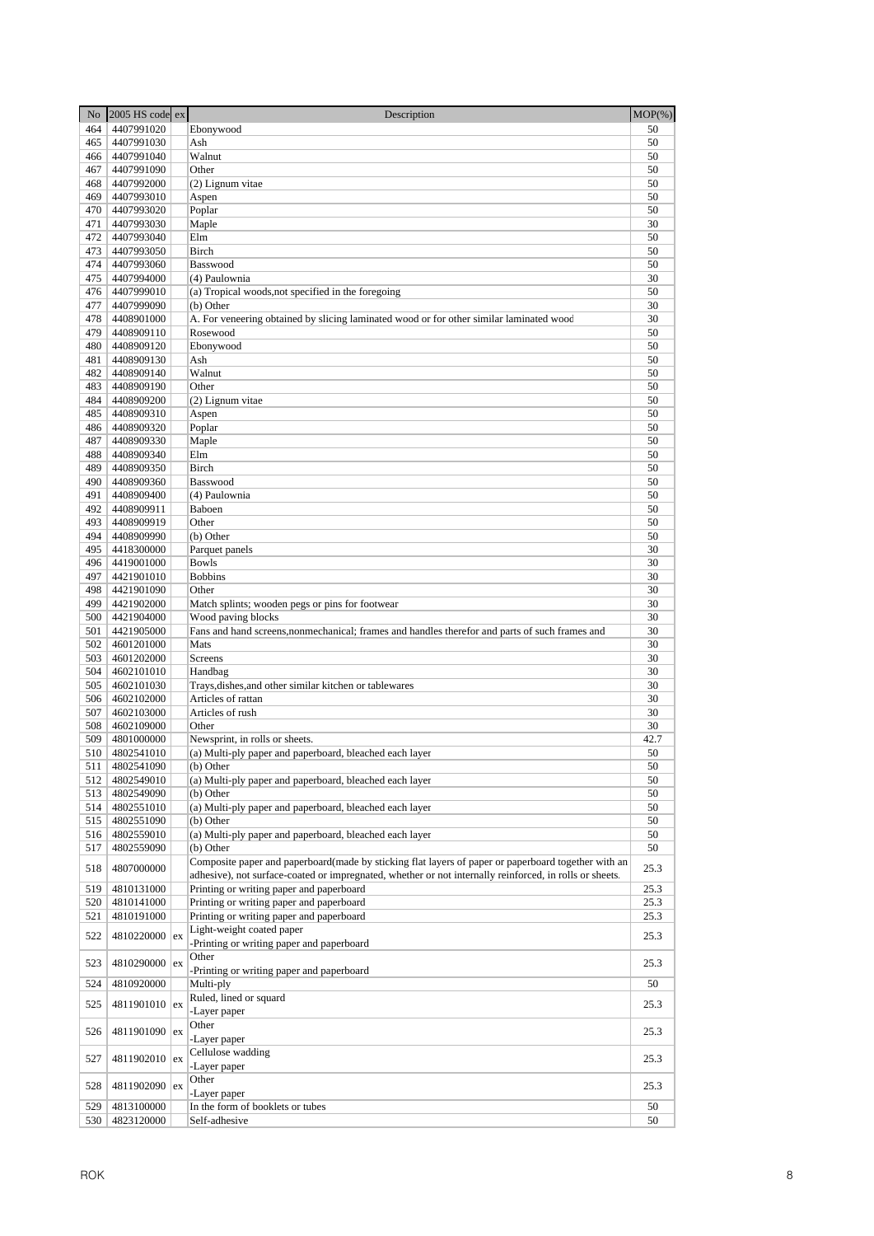| N <sub>o</sub> | $2005$ HS code ex        | Description                                                                                             | $MOP(\% )$ |
|----------------|--------------------------|---------------------------------------------------------------------------------------------------------|------------|
| 464            | 4407991020               | Ebonywood                                                                                               | 50         |
| 465            | 4407991030               | Ash                                                                                                     | 50         |
| 466            | 4407991040               | Walnut                                                                                                  | 50         |
| 467            | 4407991090               | Other                                                                                                   | 50         |
| 468            | 4407992000               | (2) Lignum vitae                                                                                        | 50         |
| 469            | 4407993010               | Aspen                                                                                                   | 50         |
| 470<br>471     | 4407993020<br>4407993030 | Poplar                                                                                                  | 50<br>30   |
| 472            | 4407993040               | Maple<br>Elm                                                                                            | 50         |
| 473            | 4407993050               | Birch                                                                                                   | 50         |
| 474            | 4407993060               | Basswood                                                                                                | 50         |
| 475            | 4407994000               | (4) Paulownia                                                                                           | 30         |
| 476            | 4407999010               | (a) Tropical woods, not specified in the foregoing                                                      | 50         |
| 477            | 4407999090               | (b) Other                                                                                               | 30         |
| 478            | 4408901000               | A. For veneering obtained by slicing laminated wood or for other similar laminated wood                 | 30         |
| 479            | 4408909110               | Rosewood                                                                                                | 50         |
| 480            | 4408909120               | Ebonywood                                                                                               | 50         |
| 481            | 4408909130               | Ash                                                                                                     | 50         |
| 482            | 4408909140               | Walnut                                                                                                  | 50         |
| 483            | 4408909190               | Other                                                                                                   | 50         |
| 484            | 4408909200               | (2) Lignum vitae                                                                                        | 50         |
| 485<br>486     | 4408909310               | Aspen                                                                                                   | 50<br>50   |
| 487            | 4408909320<br>4408909330 | Poplar<br>Maple                                                                                         | 50         |
| 488            | 4408909340               | Elm                                                                                                     | 50         |
| 489            | 4408909350               | Birch                                                                                                   | 50         |
| 490            | 4408909360               | Basswood                                                                                                | 50         |
| 491            | 4408909400               | (4) Paulownia                                                                                           | 50         |
| 492            | 4408909911               | Baboen                                                                                                  | 50         |
| 493            | 4408909919               | Other                                                                                                   | 50         |
| 494            | 4408909990               | (b) Other                                                                                               | 50         |
| 495            | 4418300000               | Parquet panels                                                                                          | 30         |
| 496            | 4419001000               | <b>Bowls</b>                                                                                            | 30         |
| 497            | 4421901010               | <b>Bobbins</b>                                                                                          | 30         |
| 498            | 4421901090               | Other                                                                                                   | 30         |
| 499            | 4421902000               | Match splints; wooden pegs or pins for footwear                                                         | 30         |
| 500<br>501     | 4421904000               | Wood paving blocks                                                                                      | 30<br>30   |
| 502            | 4421905000<br>4601201000 | Fans and hand screens, nonmechanical; frames and handles therefor and parts of such frames and<br>Mats  | 30         |
| 503            | 4601202000               | Screens                                                                                                 | 30         |
| 504            | 4602101010               | Handbag                                                                                                 | 30         |
| 505            | 4602101030               | Trays, dishes, and other similar kitchen or tablewares                                                  | 30         |
| 506            | 4602102000               | Articles of rattan                                                                                      | 30         |
| 507            | 4602103000               | Articles of rush                                                                                        | 30         |
| 508            | 4602109000               | Other                                                                                                   | 30         |
| 509            | 4801000000               | Newsprint, in rolls or sheets.                                                                          | 42.7       |
| 510            | 4802541010               | (a) Multi-ply paper and paperboard, bleached each layer                                                 | 50         |
|                | 511 4802541090           | (b) Other                                                                                               | 50         |
| 512            | 4802549010               | (a) Multi-ply paper and paperboard, bleached each layer                                                 | 50         |
| 513            | 4802549090               | (b) Other                                                                                               | 50         |
| 514            | 4802551010               | (a) Multi-ply paper and paperboard, bleached each layer                                                 | 50         |
| 515            | 4802551090               | (b) Other                                                                                               | 50<br>50   |
| 516<br>517     | 4802559010<br>4802559090 | (a) Multi-ply paper and paperboard, bleached each layer<br>(b) Other                                    | 50         |
|                |                          | Composite paper and paperboard(made by sticking flat layers of paper or paperboard together with an     |            |
| 518            | 4807000000               | adhesive), not surface-coated or impregnated, whether or not internally reinforced, in rolls or sheets. | 25.3       |
| 519            | 4810131000               | Printing or writing paper and paperboard                                                                | 25.3       |
| 520            | 4810141000               | Printing or writing paper and paperboard                                                                | 25.3       |
| 521            | 4810191000               | Printing or writing paper and paperboard                                                                | 25.3       |
|                |                          | Light-weight coated paper                                                                               |            |
| 522            | 4810220000 ex            | -Printing or writing paper and paperboard                                                               | 25.3       |
| 523            | 4810290000 ex            | Other                                                                                                   | 25.3       |
|                |                          | -Printing or writing paper and paperboard                                                               |            |
| 524            | 4810920000               | Multi-ply                                                                                               | 50         |
| 525            | 4811901010   ex          | Ruled, lined or squard                                                                                  | 25.3       |
|                |                          | -Layer paper                                                                                            |            |
| 526            | 4811901090 ex            | Other                                                                                                   | 25.3       |
|                |                          | -Layer paper                                                                                            |            |
| 527            | 4811902010 ex            | Cellulose wadding                                                                                       | 25.3       |
|                |                          | -Layer paper<br>Other                                                                                   |            |
| 528            | 4811902090 ex            | -Layer paper                                                                                            | 25.3       |
| 529            | 4813100000               | In the form of booklets or tubes                                                                        | 50         |
| 530            | 4823120000               | Self-adhesive                                                                                           | 50         |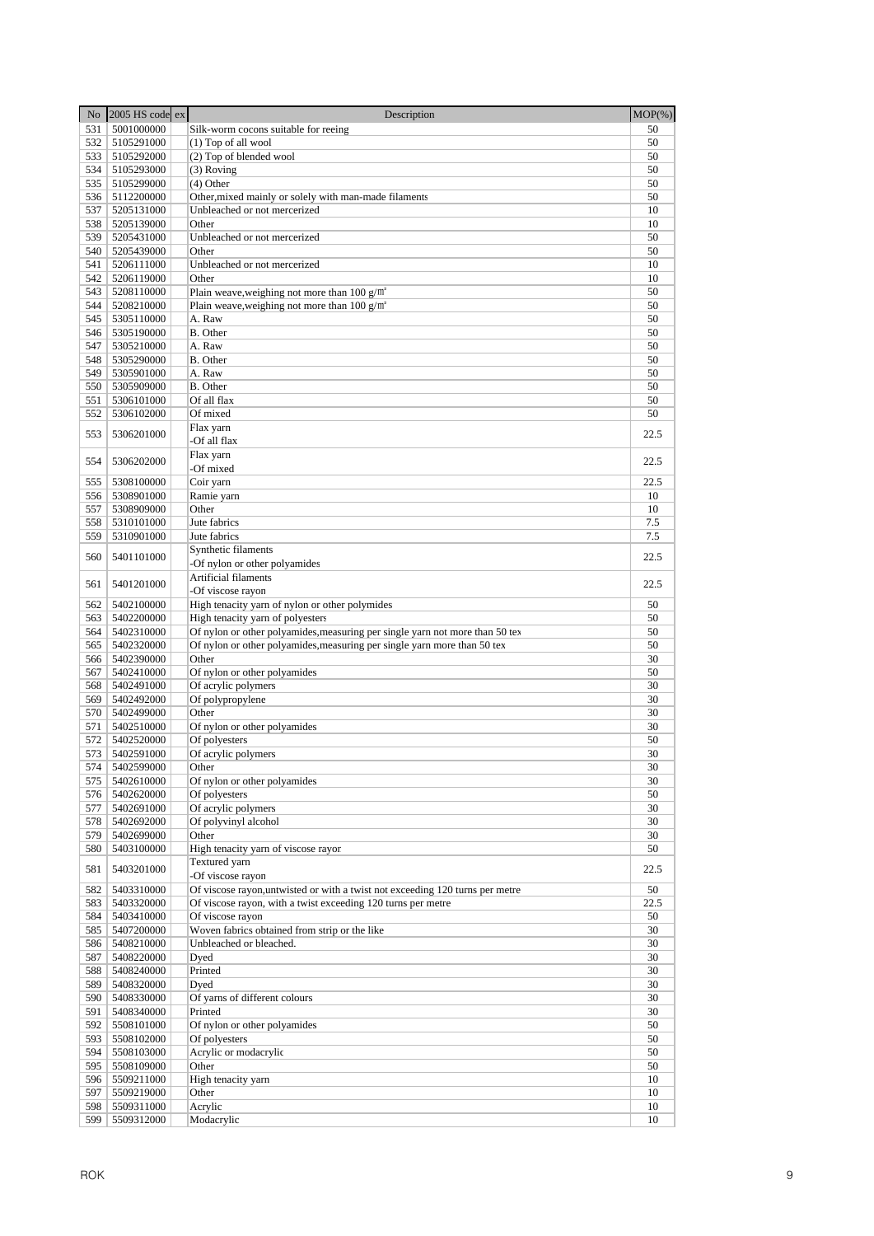| N <sub>o</sub> | $2005$ HS code ex        | Description                                                                   | $MOP(\% )$ |
|----------------|--------------------------|-------------------------------------------------------------------------------|------------|
| 531            | 5001000000               | Silk-worm cocons suitable for reeing                                          | 50         |
| 532            | 5105291000               | (1) Top of all wool                                                           | 50         |
| 533            | 5105292000               | (2) Top of blended wool                                                       | 50         |
| 534            | 5105293000               | $(3)$ Roving                                                                  | 50         |
| 535            | 5105299000               | $(4)$ Other                                                                   | 50         |
| 536            | 5112200000               | Other, mixed mainly or solely with man-made filaments                         | 50         |
| 537            | 5205131000               | Unbleached or not mercerized                                                  | 10         |
| 538            | 5205139000               | Other                                                                         | 10         |
| 539            | 5205431000               | Unbleached or not mercerized                                                  | 50         |
| 540            | 5205439000               | Other                                                                         | 50         |
| 541            | 5206111000               | Unbleached or not mercerized                                                  | 10         |
| 542            | 5206119000               | Other                                                                         | 10         |
| 543            | 5208110000               | Plain weave, weighing not more than 100 $g/m^2$                               | 50         |
| 544            | 5208210000               | Plain weave, weighing not more than $100 g/m^2$                               | 50         |
| 545            | 5305110000               | A. Raw                                                                        | 50         |
| 546            | 5305190000               | B. Other                                                                      | 50         |
| 547<br>548     | 5305210000               | A. Raw<br>B. Other                                                            | 50<br>50   |
| 549            | 5305290000<br>5305901000 | A. Raw                                                                        | 50         |
| 550            | 5305909000               | B. Other                                                                      | 50         |
| 551            | 5306101000               | Of all flax                                                                   | 50         |
| 552            | 5306102000               | Of mixed                                                                      | 50         |
|                |                          | Flax yarn                                                                     |            |
| 553            | 5306201000               | -Of all flax                                                                  | 22.5       |
|                |                          | Flax yarn                                                                     |            |
| 554            | 5306202000               | -Of mixed                                                                     | 22.5       |
| 555            | 5308100000               | Coir yarn                                                                     | 22.5       |
| 556            | 5308901000               | Ramie yarn                                                                    | 10         |
| 557            | 5308909000               | Other                                                                         | 10         |
| 558            | 5310101000               | Jute fabrics                                                                  | 7.5        |
| 559            | 5310901000               | Jute fabrics                                                                  | 7.5        |
|                |                          | Synthetic filaments                                                           |            |
| 560            | 5401101000               | -Of nylon or other polyamides                                                 | 22.5       |
|                |                          | Artificial filaments                                                          |            |
| 561            | 5401201000               | -Of viscose rayon                                                             | 22.5       |
| 562            | 5402100000               | High tenacity yarn of nylon or other polymides                                | 50         |
| 563            | 5402200000               | High tenacity yarn of polyesters                                              | 50         |
| 564            | 5402310000               | Of nylon or other polyamides, measuring per single yarn not more than 50 tex  | 50         |
| 565            | 5402320000               | Of nylon or other polyamides, measuring per single yarn more than 50 tex      | 50         |
| 566            | 5402390000               | Other                                                                         | 30         |
| 567            | 5402410000               | Of nylon or other polyamides                                                  | 50         |
| 568            | 5402491000               | Of acrylic polymers                                                           | 30         |
| 569            | 5402492000               | Of polypropylene                                                              | 30         |
| 570            | 5402499000               | Other                                                                         | 30         |
| 571            | 5402510000               | Of nylon or other polyamides                                                  | 30         |
| 572            | 5402520000               | Of polyesters                                                                 | 50         |
| 573            | 5402591000               | Of acrylic polymers                                                           | 30         |
|                | 574 5402599000           | Other                                                                         | 30         |
| 575            | 5402610000               | Of nylon or other polyamides                                                  | 30         |
| 576            | 5402620000               | Of polyesters                                                                 | 50         |
| 577            | 5402691000               | Of acrylic polymers                                                           | 30         |
| 578            | 5402692000               | Of polyvinyl alcohol                                                          | 30         |
| 579            | 5402699000               | Other                                                                         | 30         |
| 580            | 5403100000               | High tenacity yarn of viscose rayor                                           | 50         |
| 581            | 5403201000               | Textured yarn<br>-Of viscose rayon                                            | 22.5       |
| 582            | 5403310000               | Of viscose rayon, untwisted or with a twist not exceeding 120 turns per metre | 50         |
| 583            | 5403320000               | Of viscose rayon, with a twist exceeding 120 turns per metre                  | 22.5       |
| 584            | 5403410000               | Of viscose rayon                                                              | 50         |
| 585            | 5407200000               | Woven fabrics obtained from strip or the like                                 | 30         |
| 586            | 5408210000               | Unbleached or bleached.                                                       | 30         |
| 587            | 5408220000               | Dyed                                                                          | 30         |
| 588            | 5408240000               | Printed                                                                       | 30         |
| 589            | 5408320000               | Dyed                                                                          | 30         |
| 590            | 5408330000               | Of yarns of different colours                                                 | 30         |
| 591            | 5408340000               | Printed                                                                       | 30         |
| 592            | 5508101000               | Of nylon or other polyamides                                                  | 50         |
| 593            | 5508102000               | Of polyesters                                                                 | 50         |
| 594            | 5508103000               | Acrylic or modacrylic                                                         | 50         |
| 595            | 5508109000               | Other                                                                         | 50         |
| 596            | 5509211000               | High tenacity yarn                                                            | 10         |
| 597            | 5509219000               | Other                                                                         | 10         |
| 598            | 5509311000               | Acrylic                                                                       | 10         |
| 599            | 5509312000               | Modacrylic                                                                    | 10         |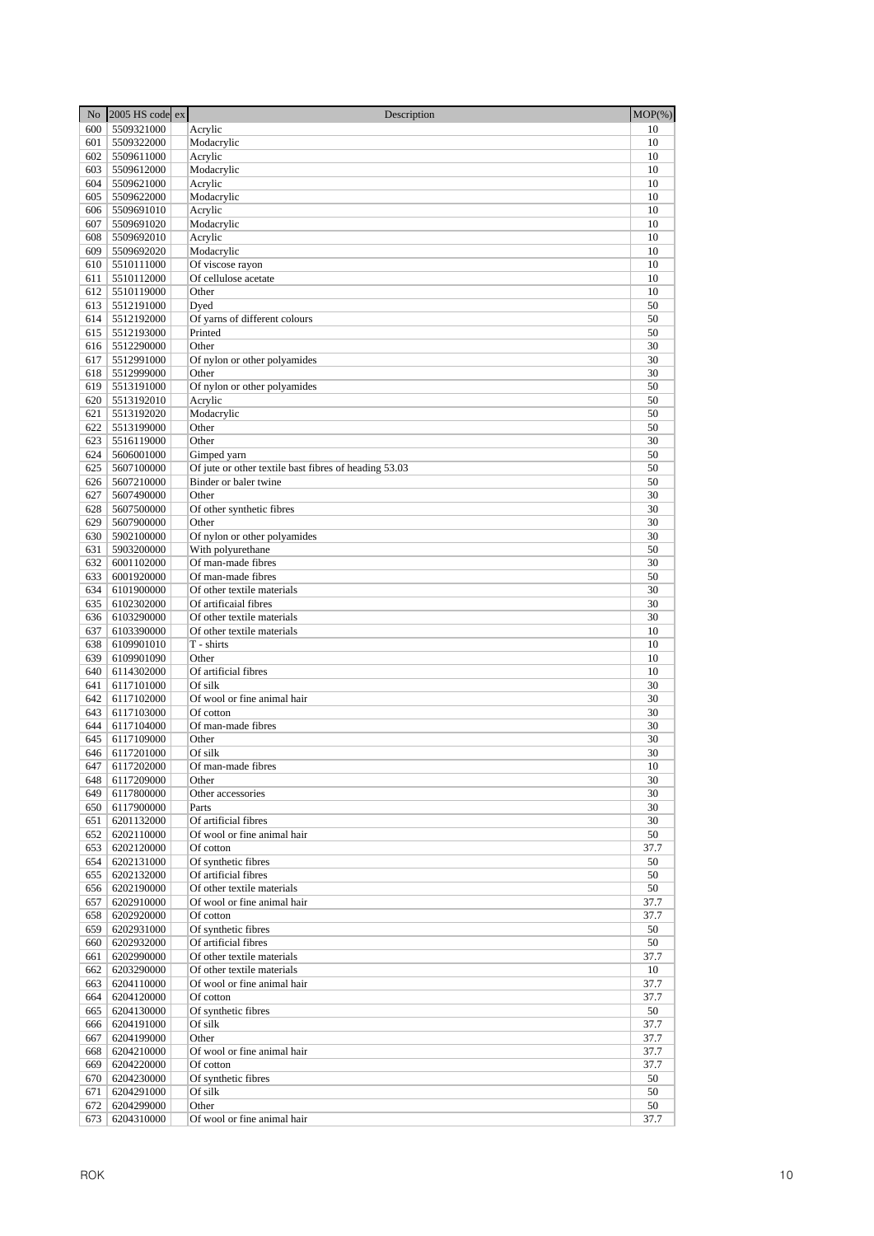| No         | 2005 HS code ex          | Description                                           | $MOP(\% )$ |
|------------|--------------------------|-------------------------------------------------------|------------|
| 600        | 5509321000               | Acrylic                                               | 10         |
| 601        | 5509322000               | Modacrylic                                            | 10         |
| 602        | 5509611000               | Acrylic                                               | 10         |
| 603        | 5509612000               | Modacrylic                                            | 10         |
| 604        | 5509621000               | Acrylic                                               | 10         |
| 605        | 5509622000               | Modacrylic                                            | 10         |
| 606        | 5509691010               | Acrylic                                               | 10         |
| 607        | 5509691020               | Modacrylic                                            | 10         |
| 608        | 5509692010               | Acrylic                                               | 10         |
| 609        | 5509692020               | Modacrylic                                            | 10         |
| 610<br>611 | 5510111000               | Of viscose rayon<br>Of cellulose acetate              | 10<br>10   |
| 612        | 5510112000<br>5510119000 | Other                                                 | 10         |
| 613        | 5512191000               | Dyed                                                  | 50         |
| 614        | 5512192000               | Of yarns of different colours                         | 50         |
| 615        | 5512193000               | Printed                                               | 50         |
| 616        | 5512290000               | Other                                                 | 30         |
| 617        | 5512991000               | Of nylon or other polyamides                          | 30         |
| 618        | 5512999000               | Other                                                 | 30         |
| 619        | 5513191000               | Of nylon or other polyamides                          | 50         |
| 620        | 5513192010               | Acrylic                                               | 50         |
| 621        | 5513192020               | Modacrylic                                            | 50         |
| 622        | 5513199000               | Other                                                 | 50         |
| 623        | 5516119000               | Other                                                 | 30         |
| 624        | 5606001000               | Gimped yarn                                           | 50         |
| 625        | 5607100000               | Of jute or other textile bast fibres of heading 53.03 | 50         |
| 626<br>627 | 5607210000<br>5607490000 | Binder or baler twine                                 | 50<br>30   |
| 628        | 5607500000               | Other<br>Of other synthetic fibres                    | 30         |
| 629        | 5607900000               | Other                                                 | 30         |
| 630        | 5902100000               | Of nylon or other polyamides                          | 30         |
| 631        | 5903200000               | With polyurethane                                     | 50         |
| 632        | 6001102000               | Of man-made fibres                                    | 30         |
| 633        | 6001920000               | Of man-made fibres                                    | 50         |
| 634        | 6101900000               | Of other textile materials                            | 30         |
| 635        | 6102302000               | Of artificaial fibres                                 | 30         |
| 636        | 6103290000               | Of other textile materials                            | 30         |
| 637        | 6103390000               | Of other textile materials                            | 10         |
| 638        | 6109901010               | T - shirts                                            | 10         |
| 639        | 6109901090               | Other                                                 | 10         |
| 640        | 6114302000               | Of artificial fibres                                  | 10<br>30   |
| 641<br>642 | 6117101000<br>6117102000 | Of silk<br>Of wool or fine animal hair                | 30         |
| 643        | 6117103000               | Of cotton                                             | 30         |
| 644        | 6117104000               | Of man-made fibres                                    | 30         |
| 645        | 6117109000               | Other                                                 | 30         |
| 646        | 6117201000               | Of silk                                               | 30         |
| 647        | 6117202000               | Of man-made fibres                                    | 10         |
| 648        | 6117209000               | Other                                                 | 30         |
| 649        | 6117800000               | Other accessories                                     | 30         |
| 650        | 6117900000               | Parts                                                 | 30         |
| 651        | 6201132000               | Of artificial fibres                                  | 30         |
| 652        | 6202110000               | Of wool or fine animal hair                           | 50         |
| 653        | 6202120000               | Of cotton                                             | 37.7       |
| 654        | 6202131000<br>6202132000 | Of synthetic fibres                                   | 50         |
| 655<br>656 | 6202190000               | Of artificial fibres<br>Of other textile materials    | 50<br>50   |
| 657        | 6202910000               | Of wool or fine animal hair                           | 37.7       |
| 658        | 6202920000               | Of cotton                                             | 37.7       |
| 659        | 6202931000               | Of synthetic fibres                                   | 50         |
| 660        | 6202932000               | Of artificial fibres                                  | 50         |
| 661        | 6202990000               | Of other textile materials                            | 37.7       |
| 662        | 6203290000               | Of other textile materials                            | 10         |
| 663        | 6204110000               | Of wool or fine animal hair                           | 37.7       |
| 664        | 6204120000               | Of cotton                                             | 37.7       |
| 665        | 6204130000               | Of synthetic fibres                                   | 50         |
| 666        | 6204191000               | Of silk                                               | 37.7       |
| 667        | 6204199000               | Other                                                 | 37.7       |
| 668        | 6204210000               | Of wool or fine animal hair                           | 37.7       |
| 669<br>670 | 6204220000               | Of cotton                                             | 37.7<br>50 |
| 671        | 6204230000<br>6204291000 | Of synthetic fibres<br>Of silk                        | 50         |
| 672        | 6204299000               | Other                                                 | 50         |
| 673        | 6204310000               | Of wool or fine animal hair                           | 37.7       |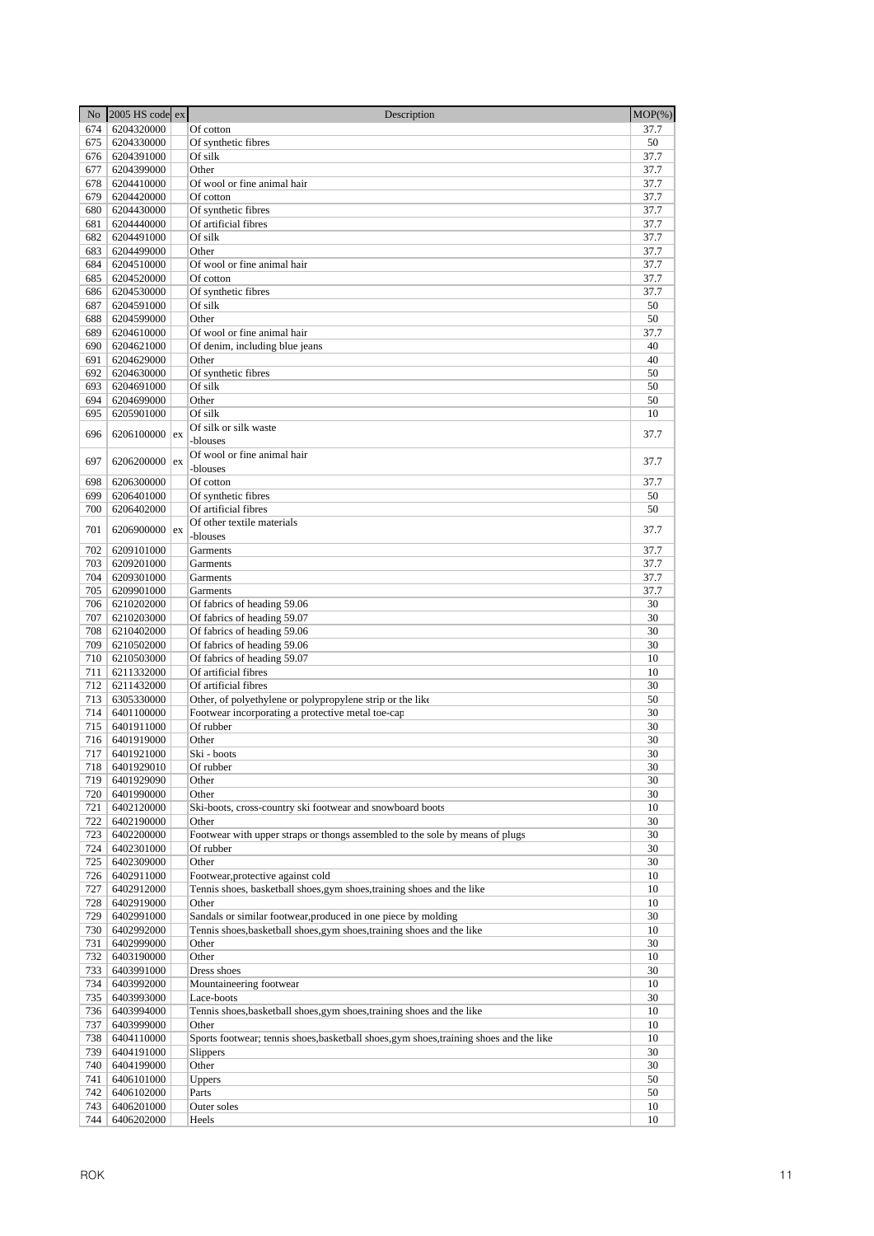| No         | 2005 HS code ex          | Description                                                                             | $MOP(\%)$  |
|------------|--------------------------|-----------------------------------------------------------------------------------------|------------|
| 674        | 6204320000               | Of cotton                                                                               | 37.7       |
| 675        | 6204330000               | Of synthetic fibres                                                                     | 50         |
| 676        | 6204391000               | Of silk                                                                                 | 37.7       |
| 677        | 6204399000               | Other                                                                                   | 37.7       |
| 678        | 6204410000               | Of wool or fine animal hair                                                             | 37.7       |
| 679        | 6204420000               | Of cotton                                                                               | 37.7       |
| 680        | 6204430000               | Of synthetic fibres                                                                     | 37.7       |
| 681        | 6204440000               | Of artificial fibres                                                                    | 37.7       |
| 682        | 6204491000               | Of silk                                                                                 | 37.7       |
| 683        | 6204499000               | Other                                                                                   | 37.7       |
| 684        | 6204510000               | Of wool or fine animal hair                                                             | 37.7       |
| 685        | 6204520000               | Of cotton                                                                               | 37.7       |
| 686        | 6204530000               | Of synthetic fibres                                                                     | 37.7       |
| 687        | 6204591000               | Of silk                                                                                 | 50         |
| 688<br>689 | 6204599000               | Other                                                                                   | 50         |
| 690        | 6204610000<br>6204621000 | Of wool or fine animal hair<br>Of denim, including blue jeans                           | 37.7<br>40 |
| 691        | 6204629000               | Other                                                                                   | 40         |
| 692        | 6204630000               | Of synthetic fibres                                                                     | 50         |
| 693        | 6204691000               | Of silk                                                                                 | 50         |
| 694        | 6204699000               | Other                                                                                   | 50         |
| 695        | 6205901000               | Of silk                                                                                 | 10         |
|            |                          | Of silk or silk waste                                                                   |            |
| 696        | 6206100000 $\vert$ ex    | -blouses                                                                                | 37.7       |
|            |                          | Of wool or fine animal hair                                                             |            |
| 697        | 6206200000 ex            | -blouses                                                                                | 37.7       |
| 698        | 6206300000               | Of cotton                                                                               | 37.7       |
| 699        | 6206401000               | Of synthetic fibres                                                                     | 50         |
| 700        | 6206402000               | Of artificial fibres                                                                    | 50         |
|            |                          | Of other textile materials                                                              |            |
| 701        | 6206900000 $\vert$ ex    | -blouses                                                                                | 37.7       |
| 702        | 6209101000               | Garments                                                                                | 37.7       |
| 703        | 6209201000               | Garments                                                                                | 37.7       |
| 704        | 6209301000               | Garments                                                                                | 37.7       |
| 705        | 6209901000               | Garments                                                                                | 37.7       |
| 706        | 6210202000               | Of fabrics of heading 59.06                                                             | 30         |
| 707        | 6210203000               | Of fabrics of heading 59.07                                                             | 30         |
| 708        | 6210402000               | Of fabrics of heading 59.06                                                             | 30         |
| 709        | 6210502000               | Of fabrics of heading 59.06                                                             | 30         |
| 710        | 6210503000               | Of fabrics of heading 59.07                                                             | 10         |
| 711        | 6211332000               | Of artificial fibres                                                                    | 10         |
| 712        | 6211432000               | Of artificial fibres                                                                    | 30         |
| 713        | 6305330000               | Other, of polyethylene or polypropylene strip or the like                               | 50         |
| 714        | 6401100000               | Footwear incorporating a protective metal toe-cap                                       | 30         |
| 715        | 6401911000               | Of rubber                                                                               | 30         |
| 716        | 6401919000               | Other                                                                                   | 30         |
| 717        | 6401921000               | Ski - boots                                                                             | 30         |
|            | 718   6401929010         | Of rubber                                                                               | 30<br>30   |
| 719<br>720 | 6401929090<br>6401990000 | Other<br>Other                                                                          |            |
|            |                          |                                                                                         | 30         |
| 721<br>722 | 6402120000<br>6402190000 | Ski-boots, cross-country ski footwear and snowboard boots<br>Other                      | 10<br>30   |
| 723        | 6402200000               | Footwear with upper straps or thongs assembled to the sole by means of plugs            | 30         |
| 724        | 6402301000               | Of rubber                                                                               | 30         |
| 725        | 6402309000               | Other                                                                                   | 30         |
| 726        | 6402911000               | Footwear, protective against cold                                                       | 10         |
| 727        | 6402912000               | Tennis shoes, basketball shoes, gym shoes, training shoes and the like                  | 10         |
| 728        | 6402919000               | Other                                                                                   | 10         |
| 729        | 6402991000               | Sandals or similar footwear, produced in one piece by molding                           | 30         |
| 730        | 6402992000               | Tennis shoes, basketball shoes, gym shoes, training shoes and the like                  | 10         |
| 731        | 6402999000               | Other                                                                                   | 30         |
| 732        | 6403190000               | Other                                                                                   | 10         |
| 733        | 6403991000               | Dress shoes                                                                             | 30         |
| 734        | 6403992000               | Mountaineering footwear                                                                 | 10         |
| 735        | 6403993000               | Lace-boots                                                                              | 30         |
| 736        | 6403994000               | Tennis shoes, basketball shoes, gym shoes, training shoes and the like                  | 10         |
| 737        | 6403999000               | Other                                                                                   | 10         |
| 738        | 6404110000               | Sports footwear; tennis shoes, basketball shoes, gym shoes, training shoes and the like | 10         |
| 739        | 6404191000               | Slippers                                                                                | 30         |
| 740        | 6404199000               | Other                                                                                   | 30         |
| 741        | 6406101000               | Uppers                                                                                  | 50         |
| 742        | 6406102000               | Parts                                                                                   | 50         |
| 743        | 6406201000               | Outer soles                                                                             | 10         |
| 744        | 6406202000               | Heels                                                                                   | 10         |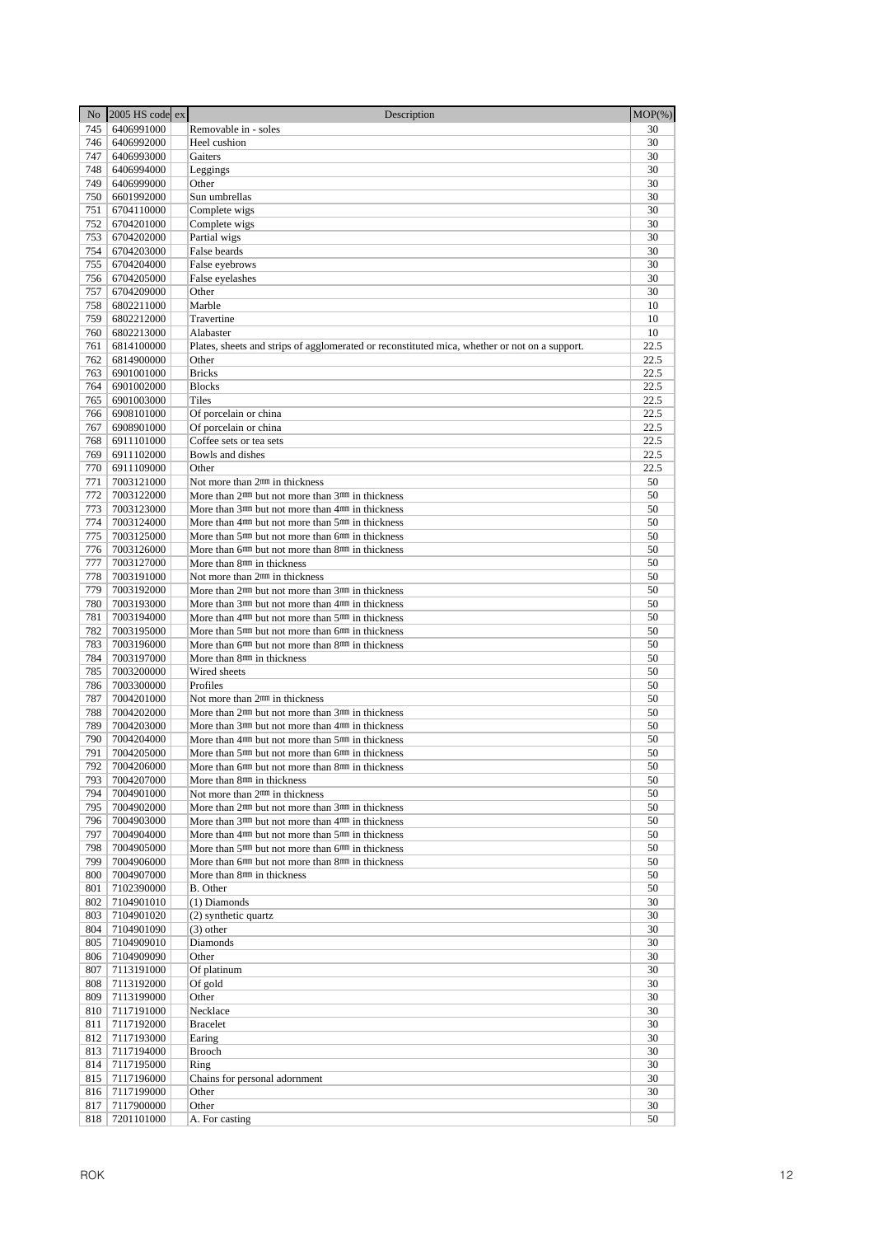| No.        | $2005$ HS code ex        | Description                                                                                                                                          | $MOP(\% )$   |
|------------|--------------------------|------------------------------------------------------------------------------------------------------------------------------------------------------|--------------|
| 745        | 6406991000               | Removable in - soles                                                                                                                                 | 30           |
| 746        | 6406992000               | Heel cushion                                                                                                                                         | 30           |
| 747        | 6406993000               | Gaiters                                                                                                                                              | 30           |
| 748        | 6406994000               | Leggings                                                                                                                                             | 30           |
| 749        | 6406999000               | Other                                                                                                                                                | 30           |
| 750        | 6601992000               | Sun umbrellas                                                                                                                                        | 30           |
| 751        | 6704110000               | Complete wigs                                                                                                                                        | 30           |
| 752        | 6704201000               | Complete wigs                                                                                                                                        | 30           |
| 753        | 6704202000               | Partial wigs                                                                                                                                         | 30           |
| 754<br>755 | 6704203000<br>6704204000 | False beards<br>False eyebrows                                                                                                                       | 30<br>30     |
| 756        | 6704205000               | False eyelashes                                                                                                                                      | 30           |
| 757        | 6704209000               | Other                                                                                                                                                | 30           |
| 758        | 6802211000               | Marble                                                                                                                                               | 10           |
| 759        | 6802212000               | Travertine                                                                                                                                           | 10           |
| 760        | 6802213000               | Alabaster                                                                                                                                            | 10           |
| 761        | 6814100000               | Plates, sheets and strips of agglomerated or reconstituted mica, whether or not on a support.                                                        | 22.5         |
| 762        | 6814900000               | Other                                                                                                                                                | 22.5         |
| 763        | 6901001000               | <b>Bricks</b>                                                                                                                                        | 22.5         |
| 764        | 6901002000               | <b>Blocks</b>                                                                                                                                        | 22.5         |
| 765        | 6901003000               | Tiles                                                                                                                                                | 22.5         |
| 766        | 6908101000               | Of porcelain or china                                                                                                                                | 22.5         |
| 767        | 6908901000               | Of porcelain or china                                                                                                                                | 22.5         |
| 768<br>769 | 6911101000<br>6911102000 | Coffee sets or tea sets                                                                                                                              | 22.5<br>22.5 |
| 770        | 6911109000               | Bowls and dishes<br>Other                                                                                                                            | 22.5         |
| 771        | 7003121000               | Not more than 2 <sup>nm</sup> in thickness                                                                                                           | 50           |
| 772        | 7003122000               | More than $2mm$ but not more than $3mm$ in thickness                                                                                                 | 50           |
| 773        | 7003123000               | More than 3 <sup>nm</sup> but not more than 4 <sup>nm</sup> in thickness                                                                             | 50           |
| 774        | 7003124000               | More than 4 <sup>nm</sup> but not more than 5 <sup>nm</sup> in thickness                                                                             | 50           |
| 775        | 7003125000               | More than 5 <sup>nm</sup> but not more than 6 <sup>nm</sup> in thickness                                                                             | 50           |
| 776        | 7003126000               | More than 6 <sup>nm</sup> but not more than 8 <sup>nm</sup> in thickness                                                                             | 50           |
| 777        | 7003127000               | More than 8 <sup>nm</sup> in thickness                                                                                                               | 50           |
| 778        | 7003191000               | Not more than 2 <sup>mm</sup> in thickness                                                                                                           | 50           |
| 779        | 7003192000               | More than $2mm$ but not more than $3mm$ in thickness                                                                                                 | 50           |
| 780        | 7003193000               | More than 3 <sup>nm</sup> but not more than 4 <sup>nm</sup> in thickness                                                                             | 50           |
| 781        | 7003194000               | More than $4mm$ but not more than $5mm$ in thickness                                                                                                 | 50           |
| 782        | 7003195000               | More than 5 <sup>nm</sup> but not more than 6 <sup>nm</sup> in thickness                                                                             | 50           |
| 783<br>784 | 7003196000<br>7003197000 | More than 6 <sup>nm</sup> but not more than 8 <sup>nm</sup> in thickness                                                                             | 50<br>50     |
| 785        | 7003200000               | More than 8 <sup>nm</sup> in thickness<br>Wired sheets                                                                                               | 50           |
| 786        | 7003300000               | Profiles                                                                                                                                             | 50           |
| 787        | 7004201000               | Not more than 2 <sup>nm</sup> in thickness                                                                                                           | 50           |
| 788        | 7004202000               | More than $2mm$ but not more than $3mm$ in thickness                                                                                                 | 50           |
| 789        | 7004203000               | More than $3mm$ but not more than $4mm$ in thickness                                                                                                 | 50           |
| 790        | 7004204000               | More than $4mm$ but not more than $5mm$ in thickness                                                                                                 | 50           |
| 791        | 7004205000               | More than 5 <sup>nm</sup> but not more than 6 <sup>nm</sup> in thickness                                                                             | 50           |
|            | 792   7004206000         | More than 6 <sup>nm</sup> but not more than 8 <sup>nm</sup> in thickness                                                                             | 50           |
| 793        | 7004207000               | More than 8mm in thickness                                                                                                                           | 50           |
| 794        | 7004901000               | Not more than 2 <sup>mm</sup> in thickness                                                                                                           | 50           |
| 795        | 7004902000               | More than 2 <sup>nm</sup> but not more than 3 <sup>nm</sup> in thickness                                                                             | 50           |
| 796        | 7004903000               | More than 3 <sup>nm</sup> but not more than 4 <sup>nm</sup> in thickness                                                                             | 50           |
| 797<br>798 | 7004904000<br>7004905000 | More than 4 <sup>nm</sup> but not more than 5 <sup>nm</sup> in thickness<br>More than 5 <sup>nm</sup> but not more than 6 <sup>nm</sup> in thickness | 50<br>50     |
| 799        | 7004906000               | More than 6 <sup>nm</sup> but not more than 8 <sup>nm</sup> in thickness                                                                             | 50           |
| 800        | 7004907000               | More than 8 <sup>nm</sup> in thickness                                                                                                               | 50           |
| 801        | 7102390000               | B. Other                                                                                                                                             | 50           |
| 802        | 7104901010               | (1) Diamonds                                                                                                                                         | 30           |
| 803        | 7104901020               | (2) synthetic quartz                                                                                                                                 | 30           |
| 804        | 7104901090               | $(3)$ other                                                                                                                                          | 30           |
| 805        | 7104909010               | Diamonds                                                                                                                                             | 30           |
| 806        | 7104909090               | Other                                                                                                                                                | 30           |
| 807        | 7113191000               | Of platinum                                                                                                                                          | 30           |
| 808        | 7113192000               | Of gold                                                                                                                                              | 30           |
| 809        | 7113199000               | Other                                                                                                                                                | 30           |
| 810<br>811 | 7117191000<br>7117192000 | Necklace<br><b>Bracelet</b>                                                                                                                          | 30<br>30     |
| 812        | 7117193000               | Earing                                                                                                                                               | 30           |
| 813        | 7117194000               | Brooch                                                                                                                                               | 30           |
| 814        | 7117195000               | Ring                                                                                                                                                 | 30           |
| 815        | 7117196000               | Chains for personal adornment                                                                                                                        | 30           |
| 816        | 7117199000               | Other                                                                                                                                                | 30           |
| 817        | 7117900000               | Other                                                                                                                                                | 30           |
| 818        | 7201101000               | A. For casting                                                                                                                                       | 50           |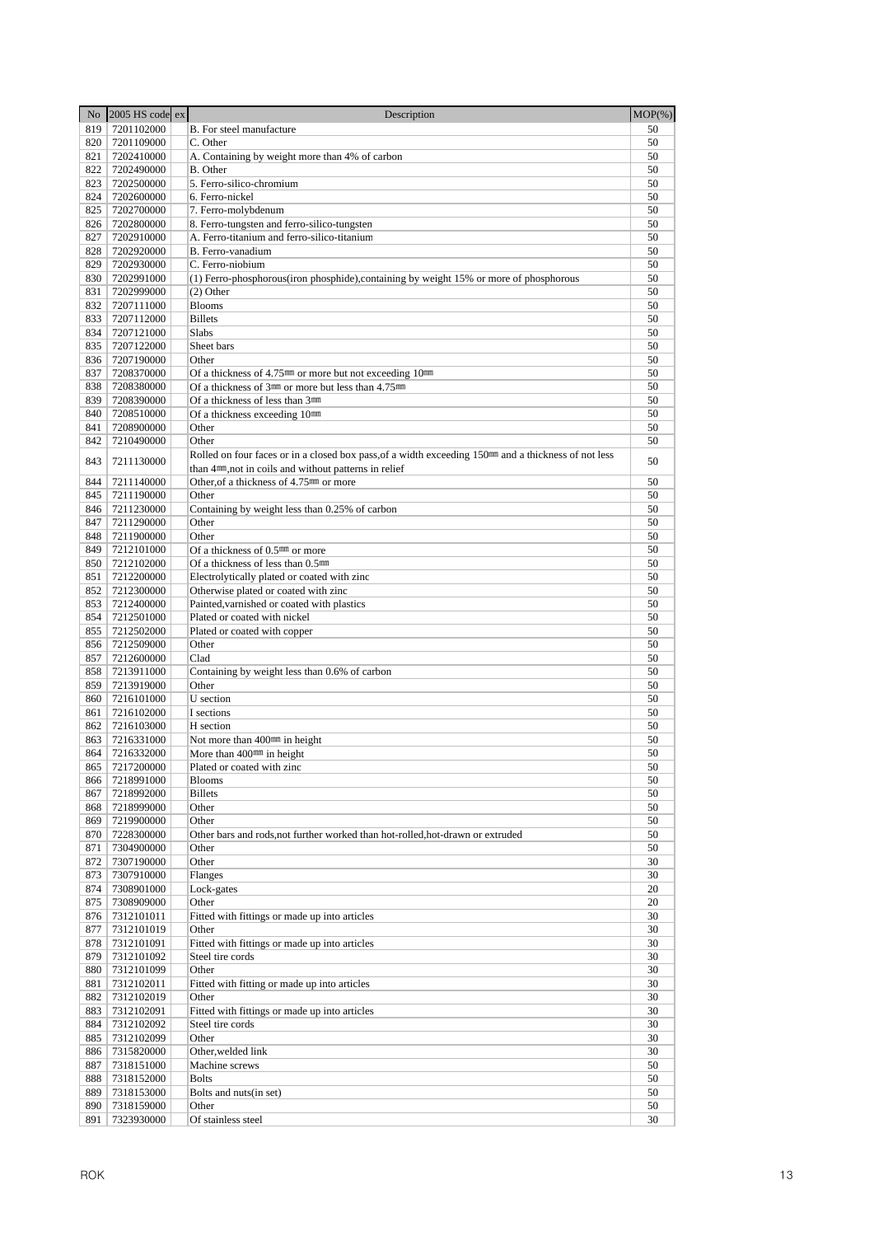|            | No 2005 HS code ex       | Description                                                                                                      | $MOP(\% )$ |
|------------|--------------------------|------------------------------------------------------------------------------------------------------------------|------------|
| 819        | 7201102000               | B. For steel manufacture                                                                                         | 50         |
| 820        | 7201109000               | C. Other                                                                                                         | 50         |
| 821        | 7202410000               | A. Containing by weight more than 4% of carbon                                                                   | 50         |
| 822        | 7202490000               | B. Other                                                                                                         | 50         |
| 823        | 7202500000               | 5. Ferro-silico-chromium                                                                                         | 50         |
| 824        | 7202600000               | 6. Ferro-nickel                                                                                                  | 50         |
| 825        | 7202700000               | 7. Ferro-molybdenum                                                                                              | 50<br>50   |
| 826<br>827 | 7202800000<br>7202910000 | 8. Ferro-tungsten and ferro-silico-tungsten<br>A. Ferro-titanium and ferro-silico-titanium                       | 50         |
| 828        | 7202920000               | B. Ferro-vanadium                                                                                                | 50         |
| 829        | 7202930000               | C. Ferro-niobium                                                                                                 | 50         |
| 830        | 7202991000               | (1) Ferro-phosphorous (iron phosphide), containing by weight 15% or more of phosphorous                          | 50         |
| 831        | 7202999000               | $(2)$ Other                                                                                                      | 50         |
| 832        | 7207111000               | <b>Blooms</b>                                                                                                    | 50         |
| 833        | 7207112000               | <b>Billets</b>                                                                                                   | 50         |
| 834        | 7207121000               | Slabs                                                                                                            | 50         |
| 835        | 7207122000               | Sheet bars                                                                                                       | 50         |
| 836        | 7207190000               | Other                                                                                                            | 50         |
| 837        | 7208370000               | Of a thickness of $4.75^{\text{mm}}$ or more but not exceeding $10^{\text{mm}}$                                  | 50         |
| 838<br>839 | 7208380000<br>7208390000 | Of a thickness of 3mm or more but less than 4.75mm                                                               | 50<br>50   |
| 840        | 7208510000               | Of a thickness of less than 3mm<br>Of a thickness exceeding 10mm                                                 | 50         |
| 841        | 7208900000               | Other                                                                                                            | 50         |
| 842        | 7210490000               | Other                                                                                                            | 50         |
|            |                          | Rolled on four faces or in a closed box pass, of a width exceeding 150 <sup>mm</sup> and a thickness of not less |            |
| 843        | 7211130000               | than 4 <sup>nm</sup> , not in coils and without patterns in relief                                               | 50         |
| 844        | 7211140000               | Other of a thickness of 4.75 <sup>mm</sup> or more                                                               | 50         |
| 845        | 7211190000               | Other                                                                                                            | 50         |
| 846        | 7211230000               | Containing by weight less than 0.25% of carbon                                                                   | 50         |
| 847        | 7211290000               | Other                                                                                                            | 50         |
| 848        | 7211900000               | Other                                                                                                            | 50         |
| 849        | 7212101000               | Of a thickness of 0.5 <sup>nm</sup> or more                                                                      | 50         |
| 850<br>851 | 7212102000               | Of a thickness of less than 0.5mm                                                                                | 50<br>50   |
| 852        | 7212200000<br>7212300000 | Electrolytically plated or coated with zinc<br>Otherwise plated or coated with zinc                              | 50         |
| 853        | 7212400000               | Painted, varnished or coated with plastics                                                                       | 50         |
| 854        | 7212501000               | Plated or coated with nickel                                                                                     | 50         |
| 855        | 7212502000               | Plated or coated with copper                                                                                     | 50         |
| 856        | 7212509000               | Other                                                                                                            | 50         |
| 857        | 7212600000               | Clad                                                                                                             | 50         |
| 858        | 7213911000               | Containing by weight less than 0.6% of carbon                                                                    | 50         |
| 859        | 7213919000               | Other                                                                                                            | 50         |
| 860        | 7216101000               | U section                                                                                                        | 50         |
| 861<br>862 | 7216102000               | I sections<br>H section                                                                                          | 50<br>50   |
| 863        | 7216103000<br>7216331000 | Not more than 400 <sup>mm</sup> in height                                                                        | 50         |
| 864        | 7216332000               | More than $400$ <sup>nm</sup> in height                                                                          | 50         |
| 865        | 7217200000               | Plated or coated with zinc                                                                                       | 50         |
| 866        | 7218991000               | <b>Blooms</b>                                                                                                    | 50         |
| 867        | 7218992000               | <b>Billets</b>                                                                                                   | 50         |
| 868        | 7218999000               | Other                                                                                                            | 50         |
| 869        | 7219900000               | Other                                                                                                            | 50         |
| 870        | 7228300000               | Other bars and rods, not further worked than hot-rolled, hot-drawn or extruded                                   | 50         |
| 871        | 7304900000               | Other                                                                                                            | 50         |
| 872<br>873 | 7307190000<br>7307910000 | Other<br>Flanges                                                                                                 | 30<br>30   |
| 874        | 7308901000               | Lock-gates                                                                                                       | 20         |
| 875        | 7308909000               | Other                                                                                                            | 20         |
| 876        | 7312101011               | Fitted with fittings or made up into articles                                                                    | 30         |
| 877        | 7312101019               | Other                                                                                                            | 30         |
| 878        | 7312101091               | Fitted with fittings or made up into articles                                                                    | 30         |
| 879        | 7312101092               | Steel tire cords                                                                                                 | 30         |
| 880        | 7312101099               | Other                                                                                                            | 30         |
| 881        | 7312102011               | Fitted with fitting or made up into articles                                                                     | 30         |
| 882        | 7312102019               | Other                                                                                                            | 30         |
| 883<br>884 | 7312102091<br>7312102092 | Fitted with fittings or made up into articles                                                                    | 30<br>30   |
| 885        | 7312102099               | Steel tire cords<br>Other                                                                                        | 30         |
| 886        | 7315820000               | Other, welded link                                                                                               | 30         |
| 887        | 7318151000               | Machine screws                                                                                                   | 50         |
| 888        | 7318152000               | <b>Bolts</b>                                                                                                     | 50         |
| 889        | 7318153000               | Bolts and nuts(in set)                                                                                           | 50         |
| 890        | 7318159000               | Other                                                                                                            | 50         |
| 891        | 7323930000               | Of stainless steel                                                                                               | 30         |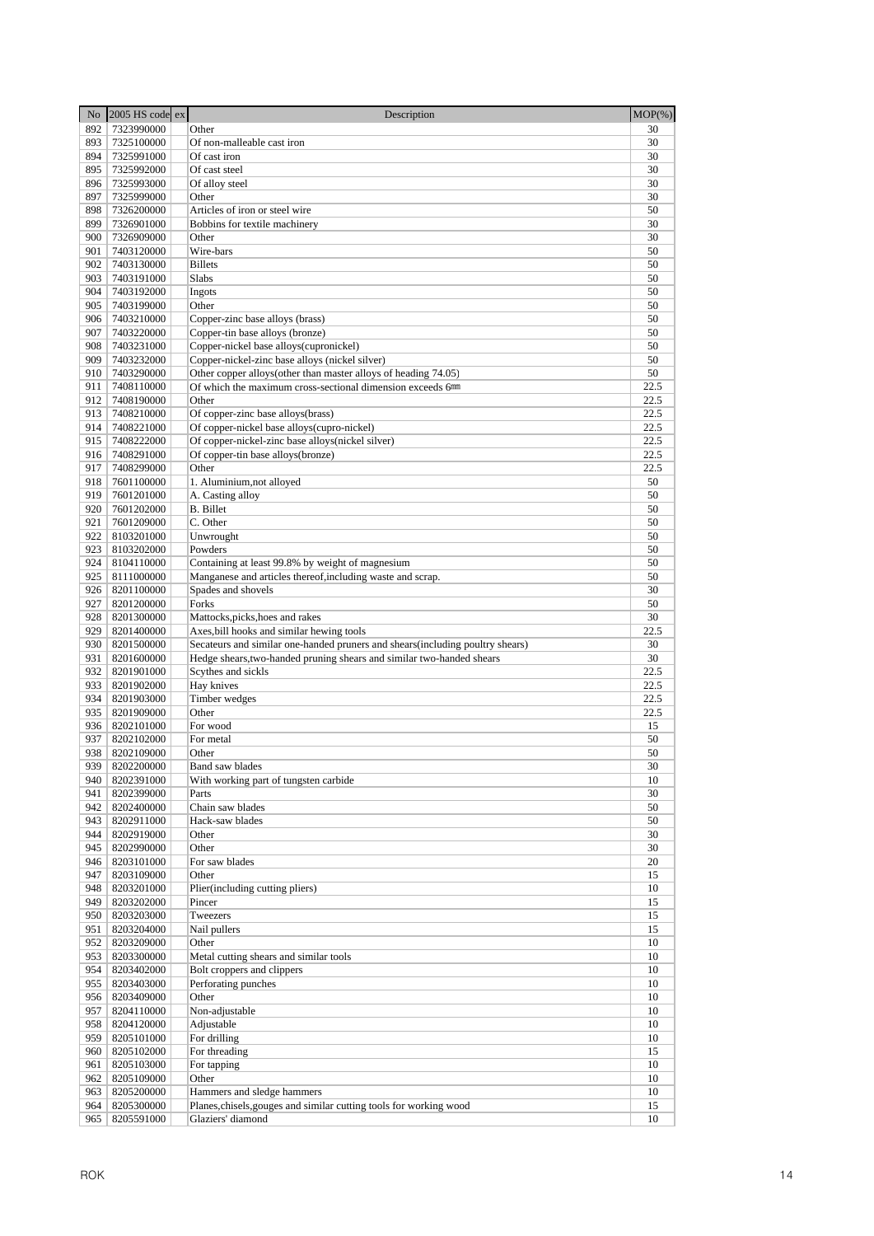| No         | 2005 HS code ex          | Description                                                                                 | $MOP(\% )$   |
|------------|--------------------------|---------------------------------------------------------------------------------------------|--------------|
| 892        | 7323990000               | Other                                                                                       | 30           |
| 893        | 7325100000               | Of non-malleable cast iron                                                                  | 30           |
| 894        | 7325991000               | Of cast iron                                                                                | 30           |
| 895        | 7325992000               | Of cast steel                                                                               | 30           |
| 896        | 7325993000               | Of alloy steel                                                                              | 30           |
| 897        | 7325999000               | Other                                                                                       | 30           |
| 898        | 7326200000               | Articles of iron or steel wire                                                              | 50           |
| 899        | 7326901000               | Bobbins for textile machinery                                                               | 30           |
| 900<br>901 | 7326909000<br>7403120000 | Other<br>Wire-bars                                                                          | 30<br>50     |
| 902        | 7403130000               | <b>Billets</b>                                                                              | 50           |
| 903        | 7403191000               | Slabs                                                                                       | 50           |
| 904        | 7403192000               | Ingots                                                                                      | 50           |
| 905        | 7403199000               | Other                                                                                       | 50           |
| 906        | 7403210000               | Copper-zinc base alloys (brass)                                                             | 50           |
| 907        | 7403220000               | Copper-tin base alloys (bronze)                                                             | 50           |
| 908        | 7403231000               | Copper-nickel base alloys(cupronickel)                                                      | 50           |
| 909        | 7403232000               | Copper-nickel-zinc base alloys (nickel silver)                                              | 50           |
| 910        | 7403290000               | Other copper alloys(other than master alloys of heading 74.05)                              | 50           |
| 911        | 7408110000               | Of which the maximum cross-sectional dimension exceeds 6mm                                  | 22.5         |
| 912        | 7408190000               | Other                                                                                       | 22.5         |
| 913        | 7408210000               | Of copper-zinc base alloys(brass)                                                           | 22.5         |
| 914        | 7408221000               | Of copper-nickel base alloys(cupro-nickel)                                                  | 22.5         |
| 915        | 7408222000               | Of copper-nickel-zinc base alloys(nickel silver)                                            | 22.5         |
| 916<br>917 | 7408291000<br>7408299000 | Of copper-tin base alloys(bronze)<br>Other                                                  | 22.5<br>22.5 |
| 918        | 7601100000               | 1. Aluminium, not alloyed                                                                   | 50           |
| 919        | 7601201000               | A. Casting alloy                                                                            | 50           |
| 920        | 7601202000               | <b>B.</b> Billet                                                                            | 50           |
| 921        | 7601209000               | C. Other                                                                                    | 50           |
| 922        | 8103201000               | Unwrought                                                                                   | 50           |
| 923        | 8103202000               | Powders                                                                                     | 50           |
| 924        | 8104110000               | Containing at least 99.8% by weight of magnesium                                            | 50           |
| 925        | 8111000000               | Manganese and articles thereof, including waste and scrap.                                  | 50           |
| 926        | 8201100000               | Spades and shovels                                                                          | 30           |
| 927        | 8201200000               | Forks                                                                                       | 50           |
| 928        | 8201300000               | Mattocks, picks, hoes and rakes                                                             | 30           |
| 929        | 8201400000               | Axes, bill hooks and similar hewing tools                                                   | 22.5         |
| 930        | 8201500000               | Secateurs and similar one-handed pruners and shears(including poultry shears)               | 30           |
| 931<br>932 | 8201600000<br>8201901000 | Hedge shears, two-handed pruning shears and similar two-handed shears<br>Scythes and sickls | 30<br>22.5   |
| 933        | 8201902000               | Hay knives                                                                                  | 22.5         |
| 934        | 8201903000               | Timber wedges                                                                               | 22.5         |
| 935        | 8201909000               | Other                                                                                       | 22.5         |
| 936        | 8202101000               | For wood                                                                                    | 15           |
| 937        | 8202102000               | For metal                                                                                   | 50           |
| 938        | 8202109000               | Other                                                                                       | 50           |
| 939        | 8202200000               | Band saw blades                                                                             | 30           |
| 940        | 8202391000               | With working part of tungsten carbide                                                       | 10           |
| 941        | 8202399000               | Parts                                                                                       | 30           |
| 942        | 8202400000               | Chain saw blades                                                                            | 50           |
| 943        | 8202911000               | Hack-saw blades                                                                             | 50           |
| 944        | 8202919000               | Other                                                                                       | 30           |
| 945<br>946 | 8202990000<br>8203101000 | Other<br>For saw blades                                                                     | 30<br>20     |
| 947        | 8203109000               | Other                                                                                       | 15           |
| 948        | 8203201000               | Plier(including cutting pliers)                                                             | 10           |
| 949        | 8203202000               | Pincer                                                                                      | 15           |
| 950        | 8203203000               | Tweezers                                                                                    | 15           |
| 951        | 8203204000               | Nail pullers                                                                                | 15           |
| 952        | 8203209000               | Other                                                                                       | 10           |
| 953        | 8203300000               | Metal cutting shears and similar tools                                                      | 10           |
| 954        | 8203402000               | Bolt croppers and clippers                                                                  | 10           |
| 955        | 8203403000               | Perforating punches                                                                         | 10           |
| 956        | 8203409000               | Other                                                                                       | 10           |
| 957        | 8204110000               | Non-adjustable                                                                              | 10           |
| 958        | 8204120000               | Adjustable                                                                                  | 10           |
| 959<br>960 | 8205101000<br>8205102000 | For drilling<br>For threading                                                               | 10<br>15     |
| 961        | 8205103000               | For tapping                                                                                 | 10           |
| 962        | 8205109000               | Other                                                                                       | 10           |
| 963        | 8205200000               | Hammers and sledge hammers                                                                  | 10           |
| 964        | 8205300000               | Planes, chisels, gouges and similar cutting tools for working wood                          | 15           |
| 965        | 8205591000               | Glaziers' diamond                                                                           | 10           |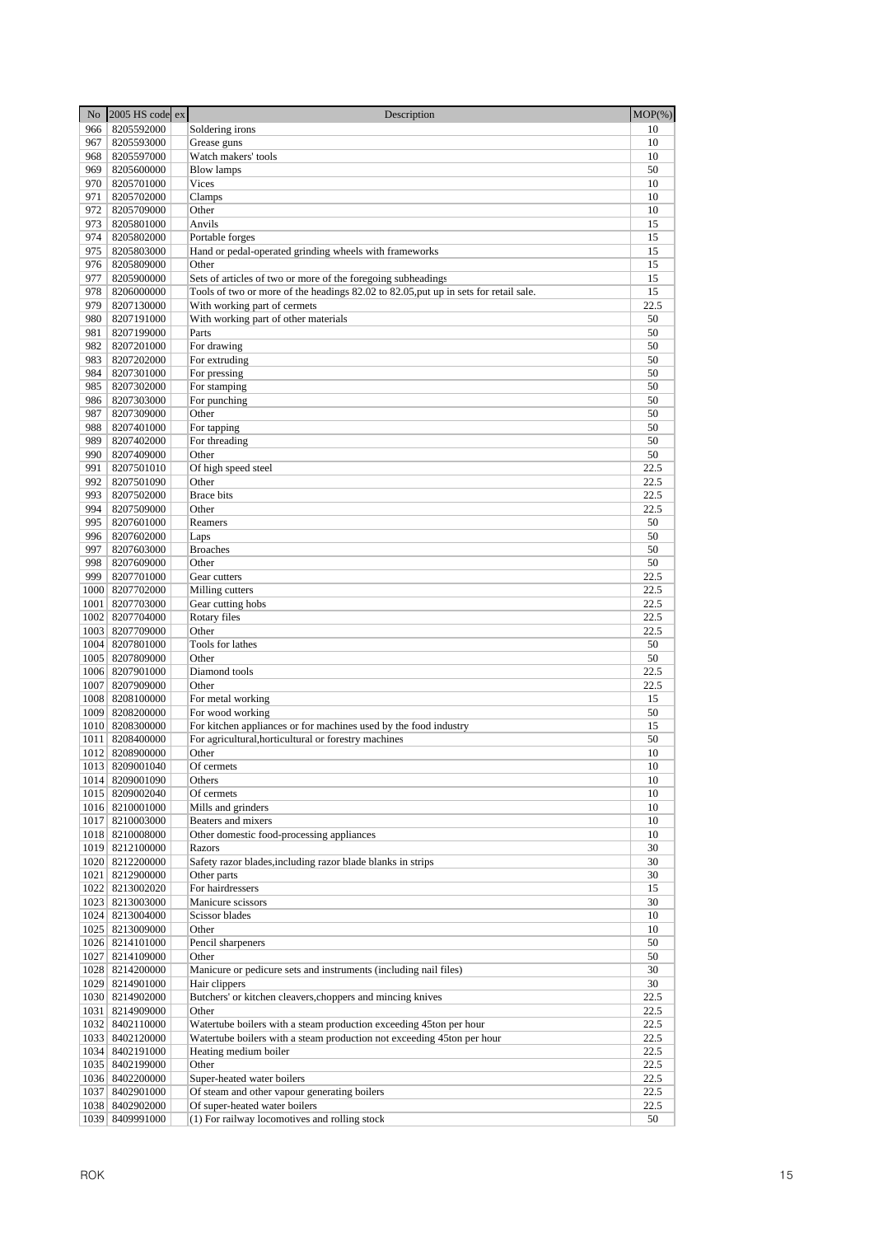| N <sub>o</sub> | $2005$ HS code ex                  | Description                                                                          | $MOP(\% )$ |
|----------------|------------------------------------|--------------------------------------------------------------------------------------|------------|
| 966            | 8205592000                         | Soldering irons                                                                      | 10         |
| 967            | 8205593000                         | Grease guns                                                                          | 10         |
| 968            | 8205597000                         | Watch makers' tools                                                                  | 10         |
| 969            | 8205600000                         | <b>Blow lamps</b>                                                                    | 50         |
| 970            | 8205701000                         | Vices                                                                                | 10         |
| 971            | 8205702000                         | Clamps                                                                               | 10         |
| 972            | 8205709000                         | Other                                                                                | 10         |
| 973            | 8205801000                         | Anvils                                                                               | 15         |
| 974            | 8205802000                         | Portable forges                                                                      | 15         |
| 975            | 8205803000                         | Hand or pedal-operated grinding wheels with frameworks                               | 15         |
| 976            | 8205809000                         | Other                                                                                | 15         |
| 977            | 8205900000                         | Sets of articles of two or more of the foregoing subheadings                         | 15         |
| 978            | 8206000000                         | Tools of two or more of the headings 82.02 to 82.05, put up in sets for retail sale. | 15         |
| 979            | 8207130000                         | With working part of cermets                                                         | 22.5       |
| 980<br>981     | 8207191000                         | With working part of other materials                                                 | 50<br>50   |
| 982            | 8207199000<br>8207201000           | Parts<br>For drawing                                                                 | 50         |
| 983            | 8207202000                         | For extruding                                                                        | 50         |
| 984            | 8207301000                         | For pressing                                                                         | 50         |
| 985            | 8207302000                         | For stamping                                                                         | 50         |
| 986            | 8207303000                         | For punching                                                                         | 50         |
| 987            | 8207309000                         | Other                                                                                | 50         |
| 988            | 8207401000                         | For tapping                                                                          | 50         |
| 989            | 8207402000                         | For threading                                                                        | 50         |
| 990            | 8207409000                         | Other                                                                                | 50         |
| 991            | 8207501010                         | Of high speed steel                                                                  | 22.5       |
| 992            | 8207501090                         | Other                                                                                | 22.5       |
| 993            | 8207502000                         | <b>Brace</b> bits                                                                    | 22.5       |
| 994            | 8207509000                         | Other                                                                                | 22.5       |
| 995            | 8207601000                         | Reamers                                                                              | 50         |
| 996            | 8207602000                         | Laps                                                                                 | 50         |
| 997            | 8207603000                         | <b>Broaches</b>                                                                      | 50         |
| 998            | 8207609000                         | Other                                                                                | 50         |
| 999            | 8207701000                         | Gear cutters                                                                         | 22.5       |
| 1000           | 8207702000                         | Milling cutters                                                                      | 22.5       |
| 1001           | 8207703000                         | Gear cutting hobs                                                                    | 22.5       |
| 1002           | 8207704000                         | Rotary files                                                                         | 22.5       |
|                | 1003 8207709000                    | Other                                                                                | 22.5       |
|                | 1004 8207801000                    | Tools for lathes                                                                     | 50         |
|                | 1005   8207809000                  | Other                                                                                | 50         |
|                | 1006 8207901000                    | Diamond tools                                                                        | 22.5       |
|                | 1007 8207909000                    | Other                                                                                | 22.5       |
|                | 1008 8208100000                    | For metal working                                                                    | 15         |
|                | 1009 8208200000                    | For wood working                                                                     | 50         |
|                | 1010 8208300000                    | For kitchen appliances or for machines used by the food industry                     | 15         |
|                | 1011 8208400000                    | For agricultural, horticultural or forestry machines                                 | 50         |
|                | 1012 8208900000                    | Other                                                                                | 10         |
|                | 1013 8209001040                    | Of cermets                                                                           | 10         |
|                | 1014 8209001090<br>1015 8209002040 | Others<br>Of cermets                                                                 | 10<br>10   |
|                | 1016 8210001000                    | Mills and grinders                                                                   | 10         |
|                | 1017 8210003000                    | Beaters and mixers                                                                   | 10         |
|                | 1018 8210008000                    | Other domestic food-processing appliances                                            | 10         |
|                | 1019 8212100000                    | Razors                                                                               | 30         |
|                | 1020 8212200000                    | Safety razor blades, including razor blade blanks in strips                          | 30         |
|                | 1021 8212900000                    | Other parts                                                                          | 30         |
|                | 1022 8213002020                    | For hairdressers                                                                     | 15         |
|                | 1023 8213003000                    | Manicure scissors                                                                    | 30         |
|                | 1024 8213004000                    | Scissor blades                                                                       | 10         |
|                | 1025 8213009000                    | Other                                                                                | 10         |
|                | 1026 8214101000                    | Pencil sharpeners                                                                    | 50         |
|                | 1027 8214109000                    | Other                                                                                | 50         |
|                | 1028 8214200000                    | Manicure or pedicure sets and instruments (including nail files)                     | 30         |
|                | 1029 8214901000                    | Hair clippers                                                                        | 30         |
|                | 1030 8214902000                    | Butchers' or kitchen cleavers, choppers and mincing knives                           | 22.5       |
|                | 1031   8214909000                  | Other                                                                                | 22.5       |
|                | 1032 8402110000                    | Watertube boilers with a steam production exceeding 45ton per hour                   | 22.5       |
|                | 1033 8402120000                    | Watertube boilers with a steam production not exceeding 45ton per hour               | 22.5       |
|                | 1034 8402191000                    | Heating medium boiler                                                                | 22.5       |
|                | 1035 8402199000                    | Other                                                                                | 22.5       |
|                | 1036 8402200000                    | Super-heated water boilers                                                           | 22.5       |
| 1037           | 8402901000                         | Of steam and other vapour generating boilers                                         | 22.5       |
|                | 1038 8402902000                    | Of super-heated water boilers                                                        | 22.5       |
|                | 1039 8409991000                    | (1) For railway locomotives and rolling stock                                        | 50         |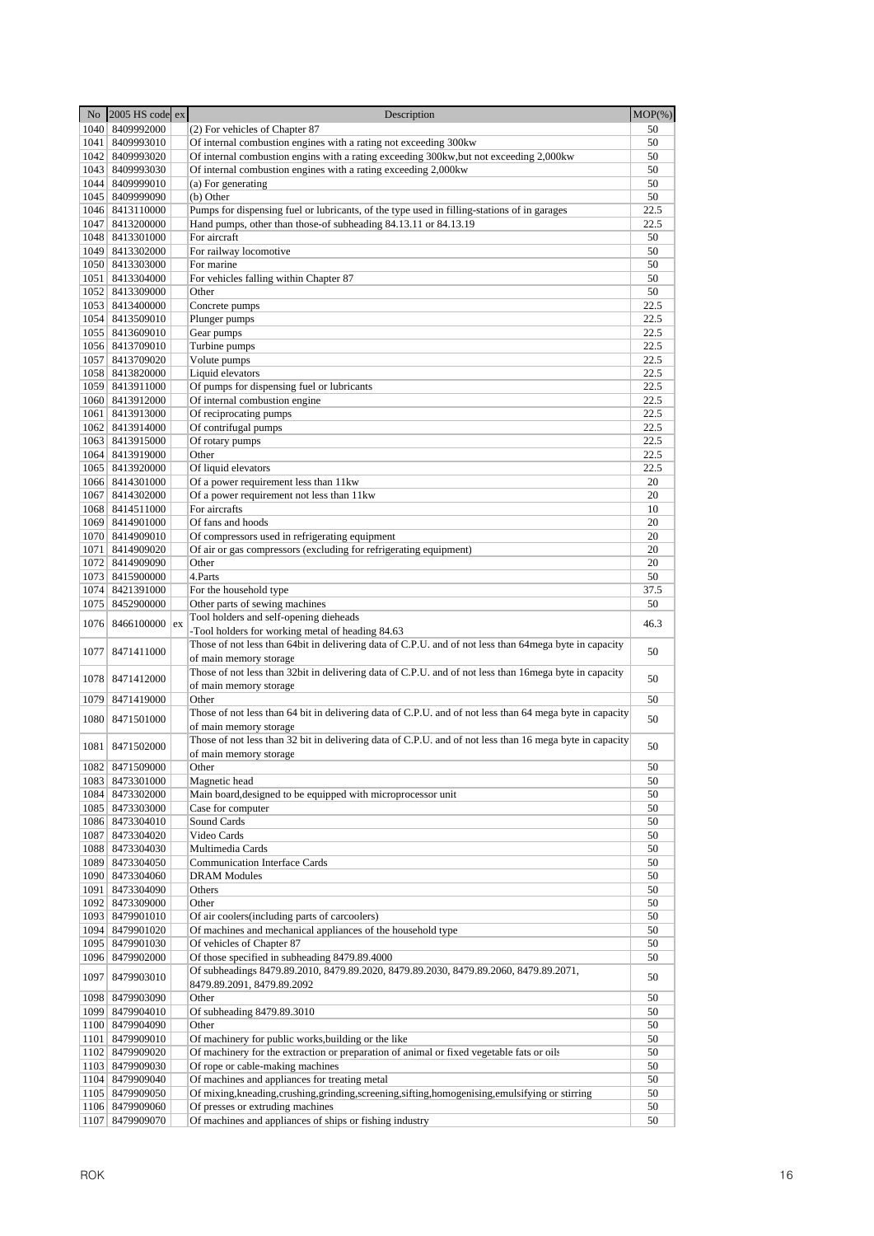|      | No 2005 HS code ex                   | Description                                                                                              | $MOP(\%)$ |
|------|--------------------------------------|----------------------------------------------------------------------------------------------------------|-----------|
|      | 1040 8409992000                      | (2) For vehicles of Chapter 87                                                                           | 50        |
|      | 1041 8409993010                      | Of internal combustion engines with a rating not exceeding 300kw                                         | 50        |
|      | 1042 8409993020                      | Of internal combustion engins with a rating exceeding 300kw, but not exceeding 2,000kw                   | 50        |
|      | 1043 8409993030                      | Of internal combustion engines with a rating exceeding 2,000kw                                           | 50        |
|      | 1044 8409999010                      | (a) For generating                                                                                       | 50        |
|      | 1045 8409999090                      | (b) Other                                                                                                | 50        |
|      | 1046 8413110000                      | Pumps for dispensing fuel or lubricants, of the type used in filling-stations of in garages              | 22.5      |
|      | 1047 8413200000                      | Hand pumps, other than those-of subheading 84.13.11 or 84.13.19                                          | 22.5      |
|      | 1048 8413301000                      | For aircraft                                                                                             | 50        |
|      | 1049 8413302000                      | For railway locomotive                                                                                   | 50        |
|      | 1050 8413303000<br>1051   8413304000 | For marine<br>For vehicles falling within Chapter 87                                                     | 50<br>50  |
|      | 1052 8413309000                      | Other                                                                                                    | 50        |
|      | 1053 8413400000                      | Concrete pumps                                                                                           | 22.5      |
|      | 1054 8413509010                      | Plunger pumps                                                                                            | 22.5      |
|      | 1055 8413609010                      | Gear pumps                                                                                               | 22.5      |
|      | 1056 8413709010                      | Turbine pumps                                                                                            | 22.5      |
|      | 1057 8413709020                      | Volute pumps                                                                                             | 22.5      |
|      | 1058 8413820000                      | Liquid elevators                                                                                         | 22.5      |
|      | 1059 8413911000                      | Of pumps for dispensing fuel or lubricants                                                               | 22.5      |
|      | 1060 8413912000                      | Of internal combustion engine                                                                            | 22.5      |
|      | 1061 8413913000                      | Of reciprocating pumps                                                                                   | 22.5      |
|      | 1062 8413914000                      | Of contrifugal pumps                                                                                     | 22.5      |
|      | 1063 8413915000                      | Of rotary pumps                                                                                          | 22.5      |
|      | 1064 8413919000                      | Other                                                                                                    | 22.5      |
|      | 1065 8413920000                      | Of liquid elevators                                                                                      | 22.5      |
|      | 1066 8414301000                      | Of a power requirement less than 11kw                                                                    | 20        |
|      | 1067 8414302000                      | Of a power requirement not less than 11kw                                                                | 20        |
|      | 1068 8414511000                      | For aircrafts                                                                                            | 10        |
|      | 1069 8414901000                      | Of fans and hoods                                                                                        | 20        |
|      | 1070 8414909010                      | Of compressors used in refrigerating equipment                                                           | 20        |
|      | 1071   8414909020                    | Of air or gas compressors (excluding for refrigerating equipment)<br>Other                               | 20<br>20  |
|      | 1072 8414909090<br>1073 8415900000   | 4.Parts                                                                                                  | 50        |
|      | 1074 8421391000                      | For the household type                                                                                   | 37.5      |
|      | 1075 8452900000                      | Other parts of sewing machines                                                                           | 50        |
|      |                                      | Tool holders and self-opening dieheads                                                                   |           |
|      | $1076$ 8466100000 ex                 | -Tool holders for working metal of heading 84.63                                                         | 46.3      |
|      |                                      | Those of not less than 64bit in delivering data of C.P.U. and of not less than 64mega byte in capacity   |           |
| 1077 | 8471411000                           | of main memory storage                                                                                   | 50        |
|      |                                      | Those of not less than 32bit in delivering data of C.P.U. and of not less than 16mega byte in capacity   |           |
| 1078 | 8471412000                           | of main memory storage                                                                                   | 50        |
|      | 1079 8471419000                      | Other                                                                                                    | 50        |
|      | 1080 8471501000                      | Those of not less than 64 bit in delivering data of C.P.U. and of not less than 64 mega byte in capacity | 50        |
|      |                                      | of main memory storage                                                                                   |           |
|      | 1081 8471502000                      | Those of not less than 32 bit in delivering data of C.P.U. and of not less than 16 mega byte in capacity | 50        |
|      |                                      | of main memory storage                                                                                   |           |
|      | 1082 8471509000                      | Other                                                                                                    | 50        |
|      | 1083 8473301000                      | Magnetic head                                                                                            | 50        |
|      | 1084 8473302000                      | Main board, designed to be equipped with microprocessor unit                                             | 50        |
|      | 1085 8473303000                      | Case for computer                                                                                        | 50        |
|      | 1086 8473304010                      | Sound Cards                                                                                              | 50        |
| 1087 | 8473304020                           | Video Cards                                                                                              | 50        |
|      | 1088 8473304030                      | Multimedia Cards                                                                                         | 50        |
|      | 1089 8473304050                      | <b>Communication Interface Cards</b>                                                                     | 50        |
|      | 1090 8473304060                      | <b>DRAM Modules</b>                                                                                      | 50        |
|      | 1091 8473304090                      | Others                                                                                                   | 50        |
| 1093 | 1092 8473309000<br>8479901010        | Other<br>Of air coolers (including parts of carcoolers)                                                  | 50<br>50  |
|      | 1094 8479901020                      | Of machines and mechanical appliances of the household type                                              | 50        |
|      | 1095 8479901030                      | Of vehicles of Chapter 87                                                                                | 50        |
|      | 1096 8479902000                      | Of those specified in subheading 8479.89.4000                                                            | 50        |
|      |                                      | Of subheadings 8479.89.2010, 8479.89.2020, 8479.89.2030, 8479.89.2060, 8479.89.2071,                     |           |
| 1097 | 8479903010                           | 8479.89.2091, 8479.89.2092                                                                               | 50        |
|      | 1098 8479903090                      | Other                                                                                                    | 50        |
|      | 1099 8479904010                      | Of subheading 8479.89.3010                                                                               | 50        |
|      | 1100 8479904090                      | Other                                                                                                    | 50        |
| 1101 | 8479909010                           | Of machinery for public works, building or the like                                                      | 50        |
|      | 1102 8479909020                      | Of machinery for the extraction or preparation of animal or fixed vegetable fats or oils                 | 50        |
|      | 1103 8479909030                      | Of rope or cable-making machines                                                                         | 50        |
|      | 1104 8479909040                      | Of machines and appliances for treating metal                                                            | 50        |
|      | 1105 8479909050                      | Of mixing, kneading, crushing, grinding, screening, sifting, homogenising, emulsifying or stirring       | 50        |
|      | 1106 8479909060                      | Of presses or extruding machines                                                                         | 50        |
| 1107 | 8479909070                           | Of machines and appliances of ships or fishing industry                                                  | 50        |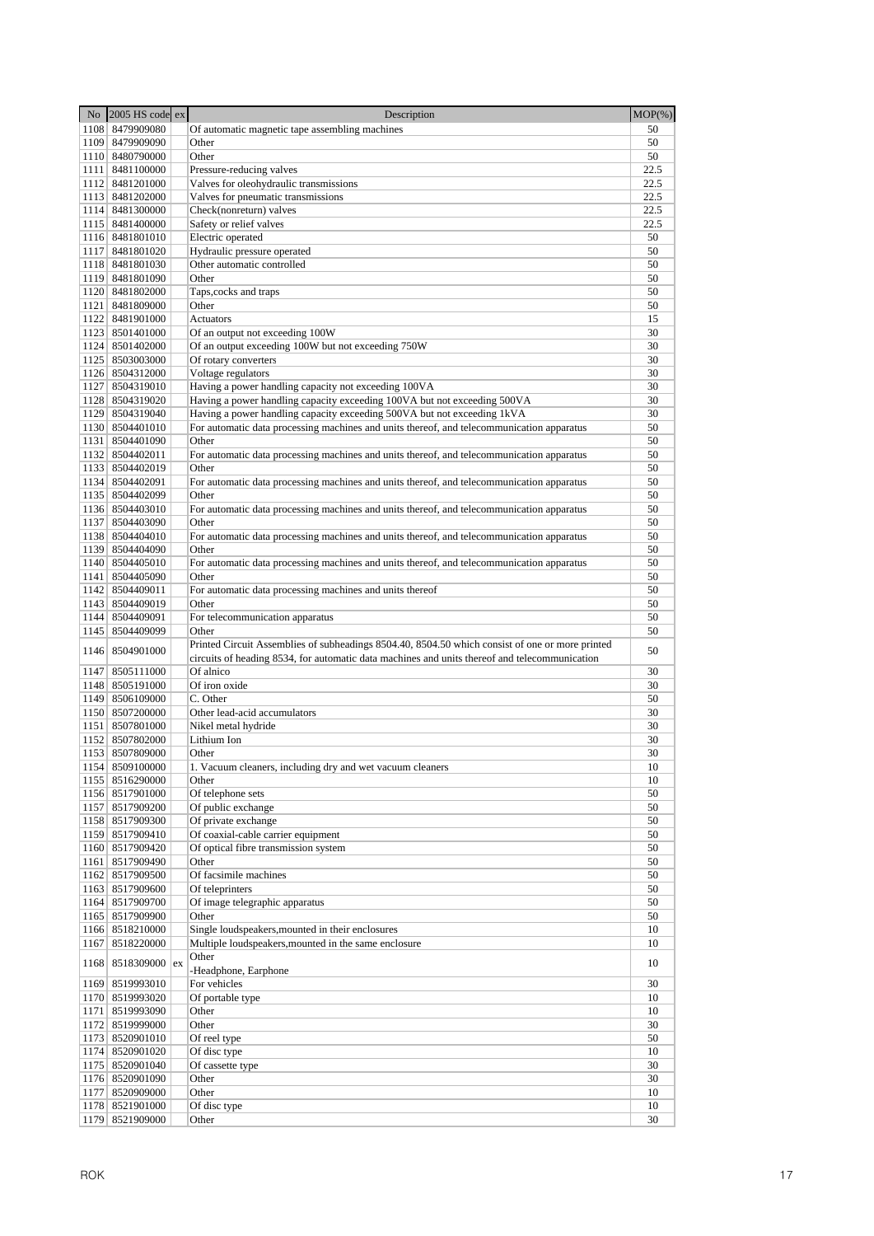|      | No 2005 HS code ex                 | Description                                                                                        | $MOP(\% )$ |
|------|------------------------------------|----------------------------------------------------------------------------------------------------|------------|
|      | 1108 8479909080                    | Of automatic magnetic tape assembling machines                                                     | 50         |
|      | 1109 8479909090                    | Other                                                                                              | 50         |
|      | 1110 8480790000                    | Other                                                                                              | 50         |
|      | 1111 8481100000                    | Pressure-reducing valves                                                                           | 22.5       |
|      | 1112 8481201000                    | Valves for oleohydraulic transmissions                                                             | 22.5       |
|      | 1113 8481202000                    | Valves for pneumatic transmissions                                                                 | 22.5       |
|      | 1114 8481300000                    | Check(nonreturn) valves                                                                            | 22.5       |
|      | 1115 8481400000                    | Safety or relief valves                                                                            | 22.5       |
|      | 1116 8481801010                    | Electric operated                                                                                  | 50         |
|      | 1117 8481801020                    | Hydraulic pressure operated                                                                        | 50         |
|      | 1118 8481801030<br>1119 8481801090 | Other automatic controlled<br>Other                                                                | 50<br>50   |
|      | 1120 8481802000                    | Taps, cocks and traps                                                                              | 50         |
|      | 1121 8481809000                    | Other                                                                                              | 50         |
|      | 1122 8481901000                    | Actuators                                                                                          | 15         |
|      | 1123 8501401000                    | Of an output not exceeding 100W                                                                    | 30         |
|      | 1124 8501402000                    | Of an output exceeding 100W but not exceeding 750W                                                 | 30         |
|      | 1125 8503003000                    | Of rotary converters                                                                               | 30         |
|      | 1126 8504312000                    | Voltage regulators                                                                                 | 30         |
|      | 1127 8504319010                    | Having a power handling capacity not exceeding 100VA                                               | 30         |
|      | 1128 8504319020                    | Having a power handling capacity exceeding 100VA but not exceeding 500VA                           | 30         |
|      | 1129 8504319040                    | Having a power handling capacity exceeding 500VA but not exceeding 1kVA                            | 30         |
|      | 1130 8504401010                    | For automatic data processing machines and units thereof, and telecommunication apparatus          | 50         |
|      | 1131 8504401090                    | Other                                                                                              | 50         |
|      | 1132 8504402011                    | For automatic data processing machines and units thereof, and telecommunication apparatus          | 50         |
|      | 1133 8504402019                    | Other                                                                                              | 50         |
|      | 1134 8504402091                    | For automatic data processing machines and units thereof, and telecommunication apparatus          | 50         |
|      | 1135 8504402099<br>1136 8504403010 | Other                                                                                              | 50<br>50   |
|      | 1137 8504403090                    | For automatic data processing machines and units thereof, and telecommunication apparatus<br>Other | 50         |
|      | 1138 8504404010                    | For automatic data processing machines and units thereof, and telecommunication apparatus          | 50         |
|      | 1139 8504404090                    | Other                                                                                              | 50         |
|      | 1140 8504405010                    | For automatic data processing machines and units thereof, and telecommunication apparatus          | 50         |
|      | 1141 8504405090                    | Other                                                                                              | 50         |
|      | 1142 8504409011                    | For automatic data processing machines and units thereof                                           | 50         |
|      | 1143 8504409019                    | Other                                                                                              | 50         |
|      | 1144 8504409091                    | For telecommunication apparatus                                                                    | 50         |
|      | 1145 8504409099                    | Other                                                                                              | 50         |
|      | 1146 8504901000                    | Printed Circuit Assemblies of subheadings 8504.40, 8504.50 which consist of one or more printed    | 50         |
|      |                                    | circuits of heading 8534, for automatic data machines and units thereof and telecommunication      |            |
|      | 1147 8505111000                    | Of alnico                                                                                          | 30         |
|      | 1148 8505191000                    | Of iron oxide                                                                                      | 30         |
|      | 1149 8506109000                    | C. Other                                                                                           | 50         |
|      | 1150 8507200000                    | Other lead-acid accumulators                                                                       | 30         |
|      | 1151 8507801000                    | Nikel metal hydride                                                                                | 30         |
|      | 1152 8507802000                    | Lithium Ion                                                                                        | 30<br>30   |
|      | 1153 8507809000                    | Other                                                                                              |            |
|      | 1154 8509100000<br>1155 8516290000 | 1. Vacuum cleaners, including dry and wet vacuum cleaners<br>Other                                 | 10<br>10   |
|      | 1156 8517901000                    | Of telephone sets                                                                                  | 50         |
|      | 1157 8517909200                    | Of public exchange                                                                                 | 50         |
|      | 1158 8517909300                    | Of private exchange                                                                                | 50         |
|      | 1159 8517909410                    | Of coaxial-cable carrier equipment                                                                 | 50         |
|      | 1160 8517909420                    | Of optical fibre transmission system                                                               | 50         |
|      | 1161 8517909490                    | Other                                                                                              | 50         |
|      | 1162 8517909500                    | Of facsimile machines                                                                              | 50         |
|      | 1163 8517909600                    | Of teleprinters                                                                                    | 50         |
|      | 1164 8517909700                    | Of image telegraphic apparatus                                                                     | 50         |
|      | 1165 8517909900                    | Other                                                                                              | 50         |
|      | 1166 8518210000                    | Single loudspeakers, mounted in their enclosures                                                   | 10         |
|      | 1167 8518220000                    | Multiple loudspeakers, mounted in the same enclosure                                               | 10         |
|      | 1168 8518309000 ex                 | Other<br>-Headphone, Earphone                                                                      | 10         |
|      | 1169 8519993010                    | For vehicles                                                                                       | 30         |
|      | 1170 8519993020                    | Of portable type                                                                                   | 10         |
|      | 1171 8519993090                    | Other                                                                                              | 10         |
|      | 1172 8519999000                    | Other                                                                                              | 30         |
|      | 1173 8520901010                    | Of reel type                                                                                       | 50         |
|      | 1174 8520901020                    | Of disc type                                                                                       | 10         |
|      | 1175 8520901040                    | Of cassette type                                                                                   | 30         |
|      | 1176 8520901090                    | Other                                                                                              | 30         |
|      | 1177 8520909000<br>1178 8521901000 | Other<br>Of disc type                                                                              | 10<br>10   |
| 1179 | 8521909000                         | Other                                                                                              | 30         |
|      |                                    |                                                                                                    |            |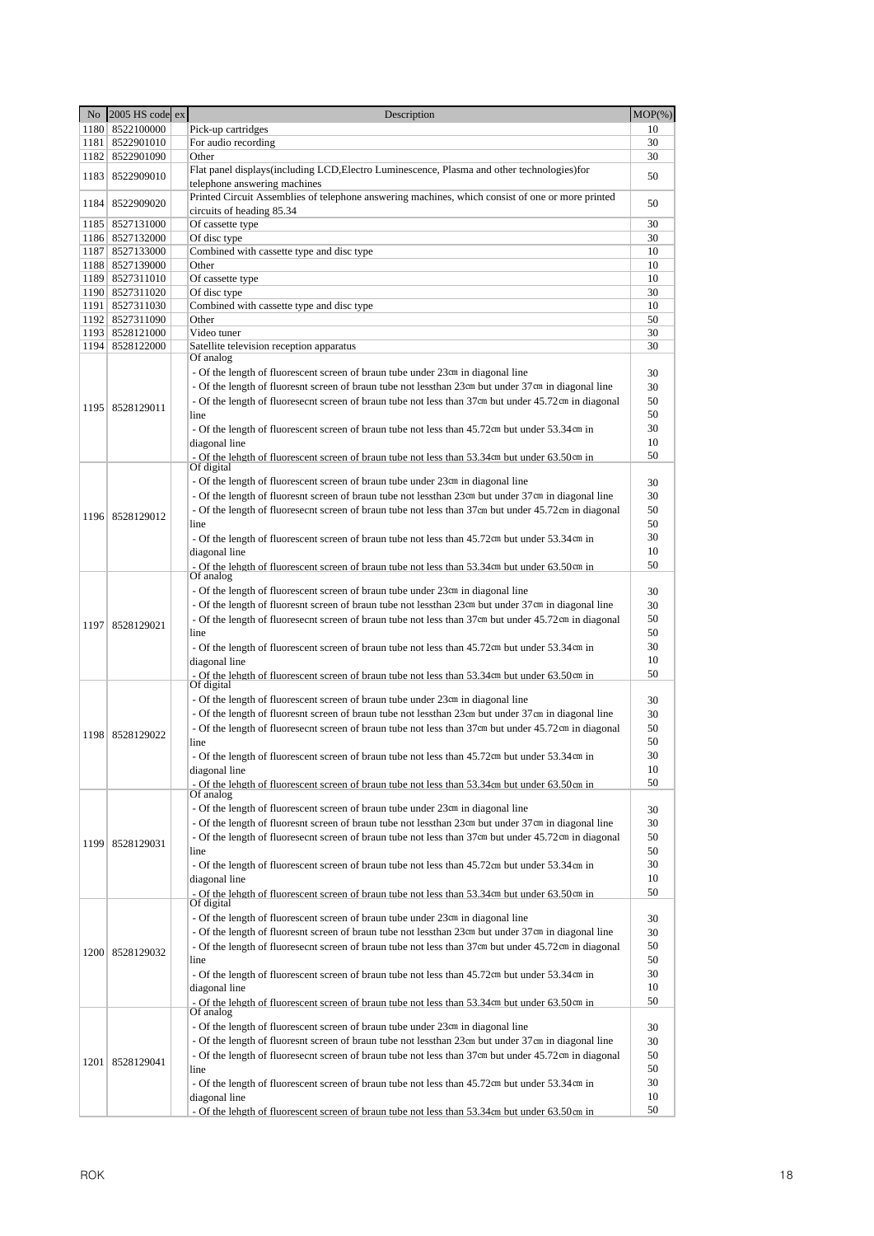|      | No $\left 2005\right\rangle$ HS code ex | Description                                                                                                                   | $MOP(\% )$ |
|------|-----------------------------------------|-------------------------------------------------------------------------------------------------------------------------------|------------|
|      | 1180 8522100000                         | Pick-up cartridges                                                                                                            | 10         |
|      | 1181 8522901010                         | For audio recording                                                                                                           | 30         |
|      | 1182 8522901090                         | Other                                                                                                                         | 30         |
|      | 1183 8522909010                         | Flat panel displays (including LCD, Electro Luminescence, Plasma and other technologies) for                                  | 50         |
|      |                                         | telephone answering machines                                                                                                  |            |
|      | 1184 8522909020                         | Printed Circuit Assemblies of telephone answering machines, which consist of one or more printed<br>circuits of heading 85.34 | 50         |
|      | 1185 8527131000                         | Of cassette type                                                                                                              | 30         |
|      | 1186 8527132000                         | Of disc type                                                                                                                  | 30         |
|      | 1187 8527133000                         | Combined with cassette type and disc type                                                                                     | 10         |
|      | 1188 8527139000<br>1189 8527311010      | Other                                                                                                                         | 10         |
|      | 1190 8527311020                         | Of cassette type<br>Of disc type                                                                                              | 10<br>30   |
|      | 1191 8527311030                         | Combined with cassette type and disc type                                                                                     | 10         |
|      | 1192 8527311090                         | Other                                                                                                                         | 50         |
|      | 1193 8528121000                         | Video tuner                                                                                                                   | 30         |
|      | 1194 8528122000                         | Satellite television reception apparatus                                                                                      | 30         |
|      |                                         | Of analog                                                                                                                     |            |
|      |                                         | - Of the length of fluorescent screen of braun tube under 23cm in diagonal line                                               | 30         |
|      |                                         | - Of the length of fluoresnt screen of braun tube not less than 23cm but under 37cm in diagonal line                          | 30         |
|      | 1195   8528129011                       | - Of the length of fluoresecnt screen of braun tube not less than 37cm but under 45.72cm in diagonal                          | 50         |
|      |                                         | line                                                                                                                          | 50         |
|      |                                         | - Of the length of fluorescent screen of braun tube not less than 45.72cm but under 53.34cm in                                | 30         |
|      |                                         | diagonal line                                                                                                                 | 10         |
|      |                                         | - Of the lehgth of fluorescent screen of braun tube not less than 53.34cm but under 63.50cm in<br>Of digital                  | 50         |
|      |                                         | - Of the length of fluorescent screen of braun tube under 23cm in diagonal line                                               | 30         |
|      |                                         | - Of the length of fluoresnt screen of braun tube not less than 23cm but under 37cm in diagonal line                          | 30         |
|      | 1196 8528129012                         | - Of the length of fluoresecnt screen of braun tube not less than 37cm but under 45.72cm in diagonal                          | 50         |
|      |                                         | line                                                                                                                          | 50         |
|      |                                         | - Of the length of fluorescent screen of braun tube not less than 45.72cm but under 53.34cm in                                | 30         |
|      |                                         | diagonal line                                                                                                                 | 10         |
|      |                                         | - Of the lehgth of fluorescent screen of braun tube not less than 53.34cm but under 63.50cm in<br>Of analog                   | 50         |
|      |                                         |                                                                                                                               |            |
|      |                                         | - Of the length of fluorescent screen of braun tube under 23cm in diagonal line                                               | 30         |
|      |                                         | - Of the length of fluoresnt screen of braun tube not less than 23cm but under 37cm in diagonal line                          | 30<br>50   |
|      | 1197   8528129021                       | - Of the length of fluoresecnt screen of braun tube not less than 37cm but under 45.72cm in diagonal<br>line                  | 50         |
|      |                                         | - Of the length of fluorescent screen of braun tube not less than 45.72cm but under 53.34cm in                                | 30         |
|      |                                         | diagonal line                                                                                                                 | 10         |
|      |                                         | - Of the leheth of fluorescent screen of braun tube not less than 53.34cm but under 63.50cm in                                | 50         |
|      |                                         | Of digital                                                                                                                    |            |
|      |                                         | - Of the length of fluorescent screen of braun tube under 23cm in diagonal line                                               | 30         |
|      |                                         | - Of the length of fluoresnt screen of braun tube not less than 23cm but under 37cm in diagonal line                          | 30         |
|      | 1198 8528129022                         | - Of the length of fluoresecnt screen of braun tube not less than 37cm but under 45.72cm in diagonal                          | 50         |
|      |                                         | line                                                                                                                          | 50         |
|      |                                         | - Of the length of fluorescent screen of braun tube not less than 45.72cm but under 53.34cm in                                | 30         |
|      |                                         | diagonal line                                                                                                                 | 10         |
|      |                                         | - Of the leheth of fluorescent screen of braun tube not less than 53.34cm but under 63.50cm in                                | 50         |
|      |                                         | Of analog                                                                                                                     |            |
|      |                                         | - Of the length of fluorescent screen of braun tube under 23cm in diagonal line                                               | 30         |
|      |                                         | - Of the length of fluoresnt screen of braun tube not less than 23cm but under 37cm in diagonal line                          | 30<br>50   |
| 1199 | 8528129031                              | - Of the length of fluoresecnt screen of braun tube not less than 37cm but under 45.72cm in diagonal<br>line                  | 50         |
|      |                                         |                                                                                                                               | 30         |
|      |                                         | - Of the length of fluorescent screen of braun tube not less than 45.72cm but under 53.34cm in<br>diagonal line               | 10         |
|      |                                         | - Of the leheth of fluorescent screen of braun tube not less than 53.34cm but under 63.50cm in                                | 50         |
|      |                                         | Of digital                                                                                                                    |            |
|      |                                         | - Of the length of fluorescent screen of braun tube under 23cm in diagonal line                                               | 30         |
|      |                                         | - Of the length of fluoresnt screen of braun tube not less than 23cm but under 37cm in diagonal line                          | 30         |
|      | 1200 8528129032                         | - Of the length of fluoresecnt screen of braun tube not less than 37cm but under 45.72cm in diagonal                          | 50         |
|      |                                         | line                                                                                                                          | 50         |
|      |                                         | - Of the length of fluorescent screen of braun tube not less than 45.72cm but under 53.34cm in                                | 30         |
|      |                                         | diagonal line                                                                                                                 | 10         |
|      |                                         | - Of the lehgth of fluorescent screen of braun tube not less than 53.34cm but under 63.50cm in                                | 50         |
|      |                                         | Of analog                                                                                                                     |            |
|      |                                         | - Of the length of fluorescent screen of braun tube under 23cm in diagonal line                                               | 30         |
|      |                                         | - Of the length of fluoresnt screen of braun tube not less than 23cm but under 37cm in diagonal line                          | 30<br>50   |
| 1201 | 8528129041                              | - Of the length of fluoresecnt screen of braun tube not less than 37cm but under 45.72cm in diagonal<br>line                  | 50         |
|      |                                         |                                                                                                                               | 30         |
|      |                                         | - Of the length of fluorescent screen of braun tube not less than 45.72cm but under 53.34cm in                                | 10         |
|      |                                         | diagonal line<br>- Of the lehgth of fluorescent screen of braun tube not less than 53.34cm but under 63.50cm in               | 50         |
|      |                                         |                                                                                                                               |            |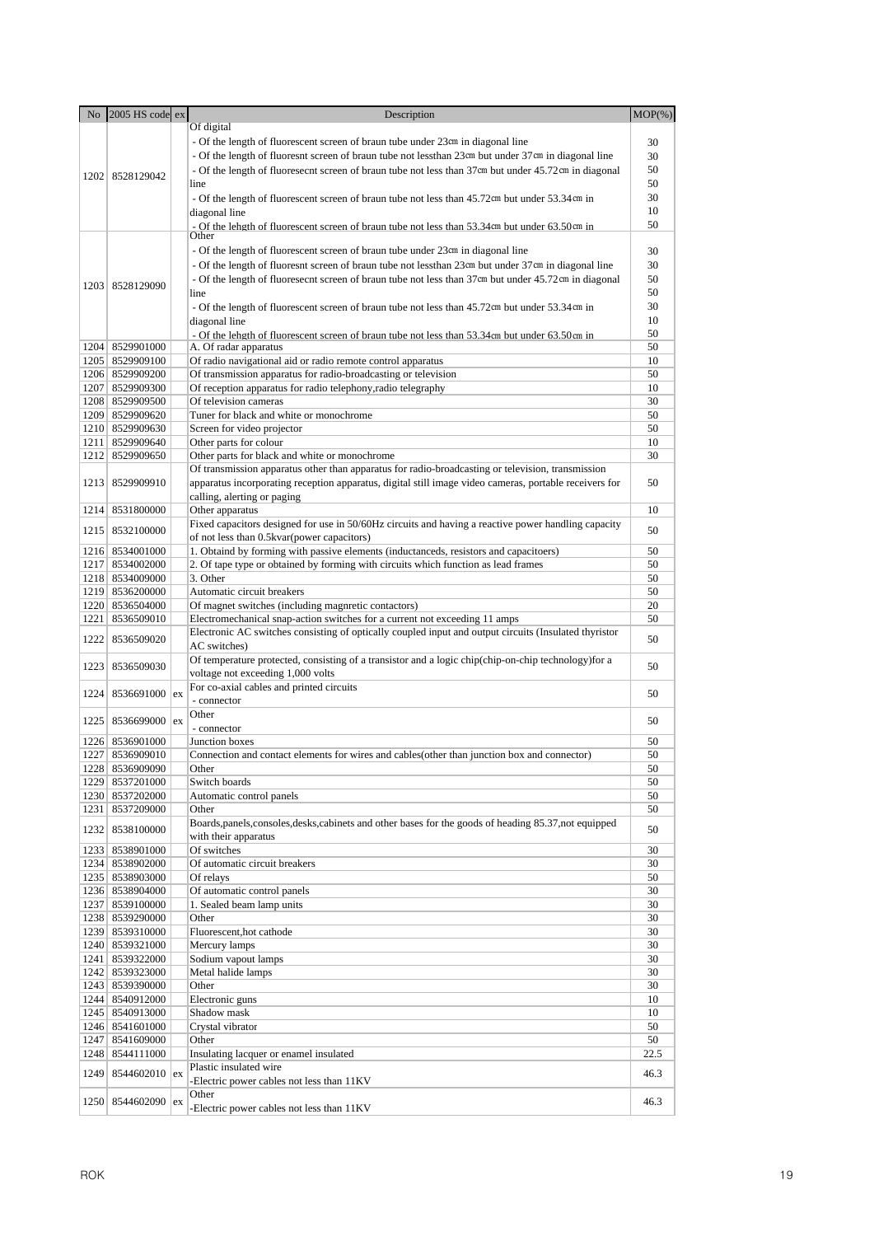| No   | 2005 HS code ex                    | Description                                                                                            | $MOP(\% )$ |
|------|------------------------------------|--------------------------------------------------------------------------------------------------------|------------|
|      |                                    | Of digital                                                                                             |            |
|      |                                    | - Of the length of fluorescent screen of braun tube under 23cm in diagonal line                        | 30         |
|      |                                    | - Of the length of fluoresnt screen of braun tube not less than 23cm but under 37cm in diagonal line   | 30         |
|      |                                    | - Of the length of fluoresecnt screen of braun tube not less than 37cm but under 45.72cm in diagonal   | 50         |
|      | 1202 8528129042                    | line                                                                                                   | 50         |
|      |                                    | - Of the length of fluorescent screen of braun tube not less than 45.72cm but under 53.34cm in         | 30         |
|      |                                    | diagonal line                                                                                          | 10         |
|      |                                    | - Of the leheth of fluorescent screen of braun tube not less than 53.34cm but under 63.50cm in         | 50         |
|      |                                    | Other                                                                                                  |            |
|      |                                    | - Of the length of fluorescent screen of braun tube under 23cm in diagonal line                        | 30         |
|      |                                    | - Of the length of fluoresnt screen of braun tube not less than 23cm but under 37cm in diagonal line   | 30         |
|      |                                    | - Of the length of fluoresecnt screen of braun tube not less than 37cm but under 45.72cm in diagonal   | 50         |
|      | 1203 8528129090                    | line                                                                                                   | 50         |
|      |                                    | - Of the length of fluorescent screen of braun tube not less than 45.72cm but under 53.34cm in         | 30         |
|      |                                    | diagonal line                                                                                          | 10         |
|      |                                    | - Of the lehgth of fluorescent screen of braun tube not less than 53.34cm but under 63.50cm in         | 50         |
|      | 1204 8529901000                    | A. Of radar apparatus                                                                                  | 50         |
|      | 1205   8529909100                  | Of radio navigational aid or radio remote control apparatus                                            | 10         |
|      | 1206 8529909200                    | Of transmission apparatus for radio-broadcasting or television                                         | 50         |
|      | 1207 8529909300                    | Of reception apparatus for radio telephony, radio telegraphy                                           | 10         |
|      | 1208 8529909500                    | Of television cameras                                                                                  | 30         |
|      | 1209 8529909620                    | Tuner for black and white or monochrome                                                                | 50         |
|      | 1210 8529909630                    | Screen for video projector                                                                             | 50         |
|      | 1211 8529909640                    | Other parts for colour                                                                                 | 10         |
|      | 1212 8529909650                    | Other parts for black and white or monochrome                                                          | 30         |
|      |                                    | Of transmission apparatus other than apparatus for radio-broadcasting or television, transmission      |            |
|      | 1213 8529909910                    | apparatus incorporating reception apparatus, digital still image video cameras, portable receivers for | 50         |
|      |                                    | calling, alerting or paging                                                                            |            |
|      | 1214 8531800000                    | Other apparatus                                                                                        | 10         |
|      |                                    | Fixed capacitors designed for use in 50/60Hz circuits and having a reactive power handling capacity    |            |
|      | 1215 8532100000                    | of not less than 0.5kvar(power capacitors)                                                             | 50         |
|      | 1216 8534001000                    | 1. Obtaind by forming with passive elements (inductanceds, resistors and capacitoers)                  | 50         |
|      | 1217 8534002000                    | 2. Of tape type or obtained by forming with circuits which function as lead frames                     | 50         |
|      | 1218 8534009000                    | 3. Other                                                                                               | 50         |
|      | 1219 8536200000                    | Automatic circuit breakers                                                                             | 50         |
|      | 1220 8536504000                    | Of magnet switches (including magnretic contactors)                                                    | 20         |
|      | 1221 8536509010                    | Electromechanical snap-action switches for a current not exceeding 11 amps                             | 50         |
|      | 1222 8536509020                    | Electronic AC switches consisting of optically coupled input and output circuits (Insulated thyristor  | 50         |
|      |                                    | AC switches)                                                                                           |            |
| 1223 | 8536509030                         | Of temperature protected, consisting of a transistor and a logic chip(chip-on-chip technology) for a   | 50         |
|      |                                    | voltage not exceeding 1,000 volts                                                                      |            |
| 1224 | 8536691000 ex                      | For co-axial cables and printed circuits                                                               | 50         |
|      |                                    | - connector                                                                                            |            |
|      | $1225$ 8536699000 ex               | Other                                                                                                  | 50         |
|      |                                    | - connector                                                                                            |            |
|      | 1226 8536901000                    | Junction boxes                                                                                         | 50         |
|      | 1227 8536909010                    | Connection and contact elements for wires and cables (other than junction box and connector)           | 50         |
|      | 1228 8536909090                    | Other                                                                                                  | 50         |
|      | 1229 8537201000                    | Switch boards                                                                                          | 50         |
|      | 1230 8537202000                    | Automatic control panels                                                                               | 50         |
|      | 1231 8537209000                    | Other                                                                                                  | 50         |
|      | 1232 8538100000                    | Boards, panels, consoles, desks, cabinets and other bases for the goods of heading 85.37, not equipped | 50         |
|      |                                    | with their apparatus                                                                                   |            |
|      | 1233 8538901000                    | Of switches                                                                                            | 30         |
|      | 1234 8538902000                    | Of automatic circuit breakers                                                                          | 30         |
|      | 1235 8538903000                    | Of relays                                                                                              | 50         |
|      | 1236 8538904000                    | Of automatic control panels                                                                            | 30         |
|      | 1237 8539100000                    | 1. Sealed beam lamp units                                                                              | 30         |
|      | 1238 8539290000                    | Other<br>Fluorescent, hot cathode                                                                      | 30         |
|      | 1239 8539310000                    |                                                                                                        | 30<br>30   |
|      | 1240 8539321000<br>1241 8539322000 | Mercury lamps<br>Sodium vapout lamps                                                                   | 30         |
|      | 1242 8539323000                    | Metal halide lamps                                                                                     | 30         |
|      | 1243 8539390000                    | Other                                                                                                  | 30         |
|      | 1244 8540912000                    | Electronic guns                                                                                        | 10         |
|      | 1245   8540913000                  | Shadow mask                                                                                            | 10         |
|      | 1246 8541601000                    | Crystal vibrator                                                                                       | 50         |
|      | 1247 8541609000                    | Other                                                                                                  | 50         |
|      | 1248 8544111000                    | Insulating lacquer or enamel insulated                                                                 | 22.5       |
|      |                                    | Plastic insulated wire                                                                                 |            |
| 1249 | $8544602010$ ex                    | -Electric power cables not less than 11KV                                                              | 46.3       |
|      |                                    | Other                                                                                                  |            |
|      | 1250 8544602090 ex                 | Electric power cables not less than 11KV                                                               | 46.3       |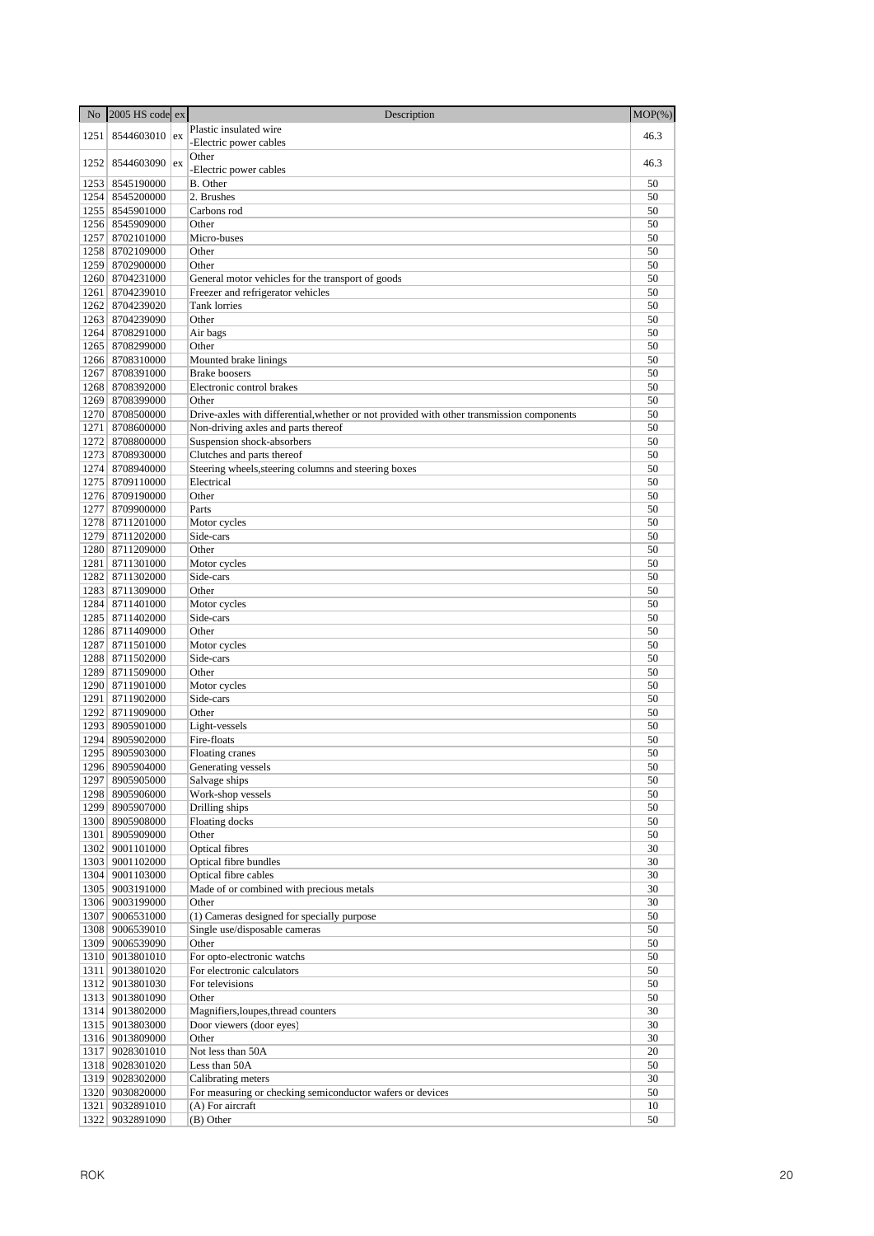| N <sub>o</sub> | 2005 HS code ex                    | Description                                                                               | $MOP(\% )$ |
|----------------|------------------------------------|-------------------------------------------------------------------------------------------|------------|
| 1251           | 8544603010 ex                      | Plastic insulated wire                                                                    | 46.3       |
|                |                                    | -Electric power cables                                                                    |            |
| 1252           | 8544603090 ex                      | Other                                                                                     | 46.3       |
|                |                                    | -Electric power cables                                                                    |            |
|                | 1253 8545190000<br>1254 8545200000 | B. Other<br>2. Brushes                                                                    | 50<br>50   |
|                | 1255 8545901000                    | Carbons rod                                                                               | 50         |
|                | 1256 8545909000                    | Other                                                                                     | 50         |
|                | 1257 8702101000                    | Micro-buses                                                                               | 50         |
|                | 1258 8702109000                    | Other                                                                                     | 50         |
|                | 1259 8702900000                    | Other                                                                                     | 50         |
|                | 1260 8704231000                    | General motor vehicles for the transport of goods                                         | 50         |
|                | 1261   8704239010                  | Freezer and refrigerator vehicles                                                         | 50         |
|                | 1262 8704239020                    | Tank lorries                                                                              | 50         |
|                | 1263 8704239090                    | Other                                                                                     | 50         |
|                | 1264 8708291000                    | Air bags                                                                                  | 50         |
|                | 1265 8708299000<br>1266 8708310000 | Other<br>Mounted brake linings                                                            | 50<br>50   |
| 1267           | 8708391000                         | <b>Brake</b> boosers                                                                      | 50         |
|                | 1268 8708392000                    | Electronic control brakes                                                                 | 50         |
|                | 1269 8708399000                    | Other                                                                                     | 50         |
|                | 1270 8708500000                    | Drive-axles with differential, whether or not provided with other transmission components | 50         |
|                | 1271 8708600000                    | Non-driving axles and parts thereof                                                       | 50         |
|                | 1272 8708800000                    | Suspension shock-absorbers                                                                | 50         |
|                | 1273 8708930000                    | Clutches and parts thereof                                                                | 50         |
|                | 1274 8708940000                    | Steering wheels, steering columns and steering boxes                                      | 50         |
|                | 1275 8709110000                    | Electrical                                                                                | 50         |
|                | 1276 8709190000                    | Other                                                                                     | 50         |
|                | 1277 8709900000                    | Parts                                                                                     | 50         |
|                | 1278 8711201000<br>1279 8711202000 | Motor cycles<br>Side-cars                                                                 | 50<br>50   |
|                | 1280 8711209000                    | Other                                                                                     | 50         |
|                | 1281   8711301000                  | Motor cycles                                                                              | 50         |
|                | 1282 8711302000                    | Side-cars                                                                                 | 50         |
|                | 1283 8711309000                    | Other                                                                                     | 50         |
|                | 1284 8711401000                    | Motor cycles                                                                              | 50         |
|                | 1285   8711402000                  | Side-cars                                                                                 | 50         |
|                | 1286 8711409000                    | Other                                                                                     | 50         |
|                | 1287 8711501000                    | Motor cycles                                                                              | 50         |
|                | 1288 8711502000                    | Side-cars                                                                                 | 50         |
|                | 1289 8711509000                    | Other<br>Motor cycles                                                                     | 50<br>50   |
| 1291           | 1290 8711901000<br>8711902000      | Side-cars                                                                                 | 50         |
|                | 1292 8711909000                    | Other                                                                                     | 50         |
|                | 1293 8905901000                    | Light-vessels                                                                             | 50         |
| 1294           | 8905902000                         | Fire-floats                                                                               | 50         |
| 1295           | 8905903000                         | Floating cranes                                                                           | 50         |
|                | 1296 8905904000                    | Generating vessels                                                                        | 50         |
|                | 1297 8905905000                    | Salvage ships                                                                             | 50         |
|                | 1298 8905906000                    | Work-shop vessels                                                                         | 50         |
|                | 1299 8905907000                    | Drilling ships                                                                            | 50         |
|                | 1300 8905908000                    | Floating docks                                                                            | 50         |
|                | 1301 8905909000<br>1302 9001101000 | Other<br><b>Optical fibres</b>                                                            | 50<br>30   |
|                | 1303 9001102000                    | Optical fibre bundles                                                                     | 30         |
|                | 1304 9001103000                    | Optical fibre cables                                                                      | 30         |
|                | 1305 9003191000                    | Made of or combined with precious metals                                                  | 30         |
|                | 1306 9003199000                    | Other                                                                                     | 30         |
|                | 1307 9006531000                    | (1) Cameras designed for specially purpose                                                | 50         |
|                | 1308 9006539010                    | Single use/disposable cameras                                                             | 50         |
|                | 1309 9006539090                    | Other                                                                                     | 50         |
|                | 1310 9013801010                    | For opto-electronic watchs                                                                | 50         |
|                | 1311 9013801020<br>1312 9013801030 | For electronic calculators<br>For televisions                                             | 50<br>50   |
|                | 1313 9013801090                    | Other                                                                                     | 50         |
|                | 1314 9013802000                    | Magnifiers, loupes, thread counters                                                       | 30         |
|                | 1315 9013803000                    | Door viewers (door eyes)                                                                  | 30         |
|                | 1316 9013809000                    | Other                                                                                     | 30         |
|                | 1317 9028301010                    | Not less than 50A                                                                         | 20         |
|                | 1318 9028301020                    | Less than 50A                                                                             | 50         |
|                | 1319 9028302000                    | Calibrating meters                                                                        | 30         |
|                | 1320 9030820000                    | For measuring or checking semiconductor wafers or devices                                 | 50         |
|                | 1321 9032891010                    | (A) For aircraft                                                                          | 10         |
|                | 1322 9032891090                    | (B) Other                                                                                 | 50         |